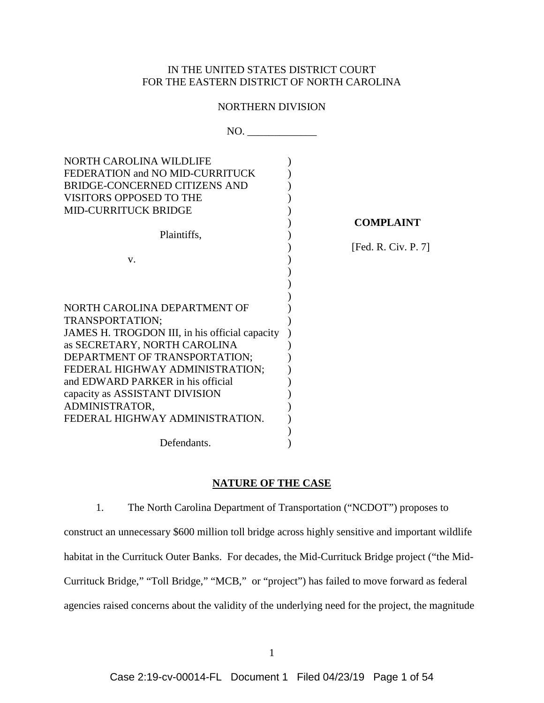## IN THE UNITED STATES DISTRICT COURT FOR THE EASTERN DISTRICT OF NORTH CAROLINA

## NORTHERN DIVISION

| NO.                                            |                     |
|------------------------------------------------|---------------------|
| NORTH CAROLINA WILDLIFE                        |                     |
| FEDERATION and NO MID-CURRITUCK                |                     |
| <b>BRIDGE-CONCERNED CITIZENS AND</b>           |                     |
| <b>VISITORS OPPOSED TO THE</b>                 |                     |
| <b>MID-CURRITUCK BRIDGE</b>                    |                     |
|                                                | <b>COMPLAINT</b>    |
| Plaintiffs,                                    |                     |
|                                                | [Fed. R. Civ. P. 7] |
| V.                                             |                     |
|                                                |                     |
|                                                |                     |
|                                                |                     |
| NORTH CAROLINA DEPARTMENT OF                   |                     |
| TRANSPORTATION;                                |                     |
| JAMES H. TROGDON III, in his official capacity |                     |
| as SECRETARY, NORTH CAROLINA                   |                     |
| DEPARTMENT OF TRANSPORTATION;                  |                     |
| FEDERAL HIGHWAY ADMINISTRATION;                |                     |
| and EDWARD PARKER in his official              |                     |
| capacity as ASSISTANT DIVISION                 |                     |
| ADMINISTRATOR,                                 |                     |
| FEDERAL HIGHWAY ADMINISTRATION.                |                     |
|                                                |                     |
| Defendants.                                    |                     |

## **NATURE OF THE CASE**

1. The North Carolina Department of Transportation ("NCDOT") proposes to construct an unnecessary \$600 million toll bridge across highly sensitive and important wildlife habitat in the Currituck Outer Banks. For decades, the Mid-Currituck Bridge project ("the Mid-Currituck Bridge," "Toll Bridge," "MCB," or "project") has failed to move forward as federal agencies raised concerns about the validity of the underlying need for the project, the magnitude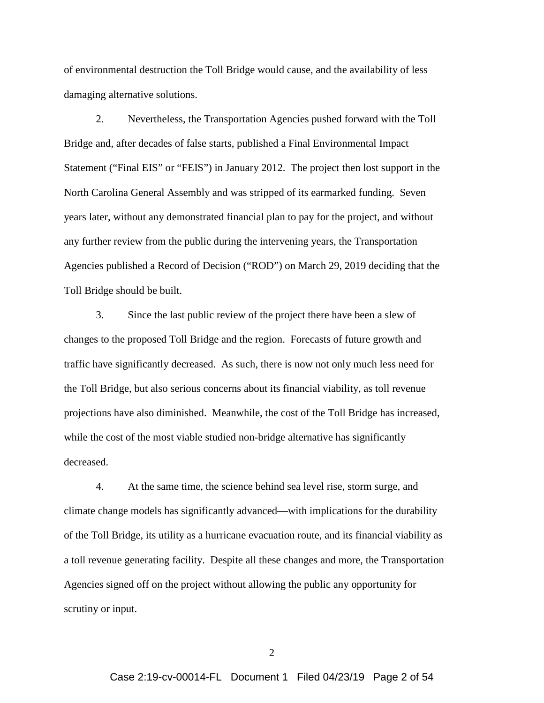of environmental destruction the Toll Bridge would cause, and the availability of less damaging alternative solutions.

2. Nevertheless, the Transportation Agencies pushed forward with the Toll Bridge and, after decades of false starts, published a Final Environmental Impact Statement ("Final EIS" or "FEIS") in January 2012. The project then lost support in the North Carolina General Assembly and was stripped of its earmarked funding. Seven years later, without any demonstrated financial plan to pay for the project, and without any further review from the public during the intervening years, the Transportation Agencies published a Record of Decision ("ROD") on March 29, 2019 deciding that the Toll Bridge should be built.

3. Since the last public review of the project there have been a slew of changes to the proposed Toll Bridge and the region. Forecasts of future growth and traffic have significantly decreased. As such, there is now not only much less need for the Toll Bridge, but also serious concerns about its financial viability, as toll revenue projections have also diminished. Meanwhile, the cost of the Toll Bridge has increased, while the cost of the most viable studied non-bridge alternative has significantly decreased.

4. At the same time, the science behind sea level rise, storm surge, and climate change models has significantly advanced—with implications for the durability of the Toll Bridge, its utility as a hurricane evacuation route, and its financial viability as a toll revenue generating facility. Despite all these changes and more, the Transportation Agencies signed off on the project without allowing the public any opportunity for scrutiny or input.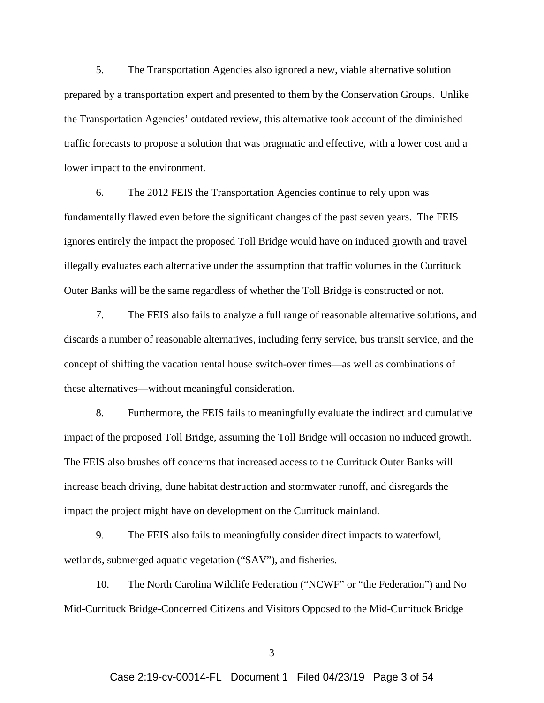5. The Transportation Agencies also ignored a new, viable alternative solution prepared by a transportation expert and presented to them by the Conservation Groups. Unlike the Transportation Agencies' outdated review, this alternative took account of the diminished traffic forecasts to propose a solution that was pragmatic and effective, with a lower cost and a lower impact to the environment.

6. The 2012 FEIS the Transportation Agencies continue to rely upon was fundamentally flawed even before the significant changes of the past seven years. The FEIS ignores entirely the impact the proposed Toll Bridge would have on induced growth and travel illegally evaluates each alternative under the assumption that traffic volumes in the Currituck Outer Banks will be the same regardless of whether the Toll Bridge is constructed or not.

7. The FEIS also fails to analyze a full range of reasonable alternative solutions, and discards a number of reasonable alternatives, including ferry service, bus transit service, and the concept of shifting the vacation rental house switch-over times—as well as combinations of these alternatives—without meaningful consideration.

8. Furthermore, the FEIS fails to meaningfully evaluate the indirect and cumulative impact of the proposed Toll Bridge, assuming the Toll Bridge will occasion no induced growth. The FEIS also brushes off concerns that increased access to the Currituck Outer Banks will increase beach driving, dune habitat destruction and stormwater runoff, and disregards the impact the project might have on development on the Currituck mainland.

9. The FEIS also fails to meaningfully consider direct impacts to waterfowl, wetlands, submerged aquatic vegetation ("SAV"), and fisheries.

10. The North Carolina Wildlife Federation ("NCWF" or "the Federation") and No Mid-Currituck Bridge-Concerned Citizens and Visitors Opposed to the Mid-Currituck Bridge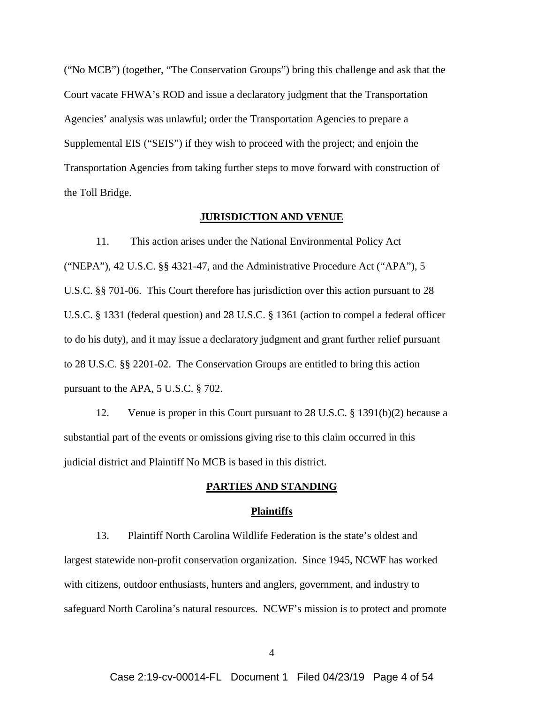("No MCB") (together, "The Conservation Groups") bring this challenge and ask that the Court vacate FHWA's ROD and issue a declaratory judgment that the Transportation Agencies' analysis was unlawful; order the Transportation Agencies to prepare a Supplemental EIS ("SEIS") if they wish to proceed with the project; and enjoin the Transportation Agencies from taking further steps to move forward with construction of the Toll Bridge.

#### **JURISDICTION AND VENUE**

11. This action arises under the National Environmental Policy Act ("NEPA"), 42 U.S.C. §§ 4321-47, and the Administrative Procedure Act ("APA"), 5 U.S.C. §§ 701-06. This Court therefore has jurisdiction over this action pursuant to 28 U.S.C. § 1331 (federal question) and 28 U.S.C. § 1361 (action to compel a federal officer to do his duty), and it may issue a declaratory judgment and grant further relief pursuant to 28 U.S.C. §§ 2201-02. The Conservation Groups are entitled to bring this action pursuant to the APA, 5 U.S.C. § 702.

12. Venue is proper in this Court pursuant to 28 U.S.C. § 1391(b)(2) because a substantial part of the events or omissions giving rise to this claim occurred in this judicial district and Plaintiff No MCB is based in this district.

### **PARTIES AND STANDING**

#### **Plaintiffs**

13. Plaintiff North Carolina Wildlife Federation is the state's oldest and largest statewide non-profit conservation organization. Since 1945, NCWF has worked with citizens, outdoor enthusiasts, hunters and anglers, government, and industry to safeguard North Carolina's natural resources. NCWF's mission is to protect and promote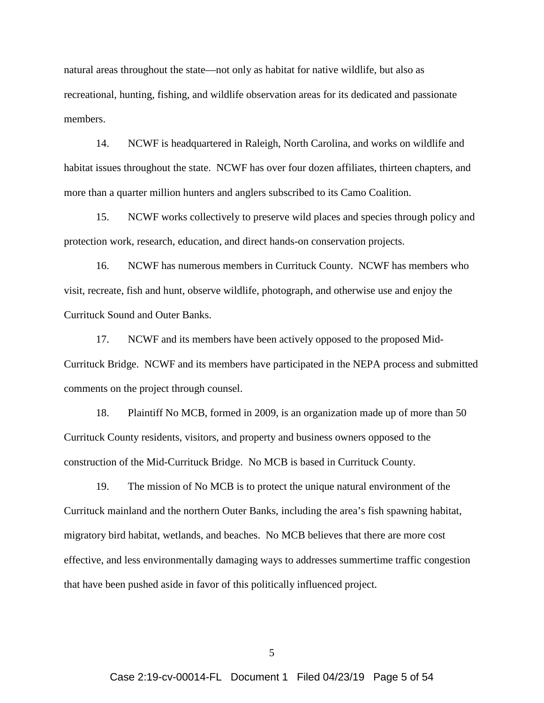natural areas throughout the state—not only as habitat for native wildlife, but also as recreational, hunting, fishing, and wildlife observation areas for its dedicated and passionate members.

14. NCWF is headquartered in Raleigh, North Carolina, and works on wildlife and habitat issues throughout the state. NCWF has over four dozen affiliates, thirteen chapters, and more than a quarter million hunters and anglers subscribed to its Camo Coalition.

15. NCWF works collectively to preserve wild places and species through policy and protection work, research, education, and direct hands-on conservation projects.

16. NCWF has numerous members in Currituck County. NCWF has members who visit, recreate, fish and hunt, observe wildlife, photograph, and otherwise use and enjoy the Currituck Sound and Outer Banks.

17. NCWF and its members have been actively opposed to the proposed Mid-Currituck Bridge. NCWF and its members have participated in the NEPA process and submitted comments on the project through counsel.

18. Plaintiff No MCB, formed in 2009, is an organization made up of more than 50 Currituck County residents, visitors, and property and business owners opposed to the construction of the Mid-Currituck Bridge. No MCB is based in Currituck County.

19. The mission of No MCB is to protect the unique natural environment of the Currituck mainland and the northern Outer Banks, including the area's fish spawning habitat, migratory bird habitat, wetlands, and beaches. No MCB believes that there are more cost effective, and less environmentally damaging ways to addresses summertime traffic congestion that have been pushed aside in favor of this politically influenced project.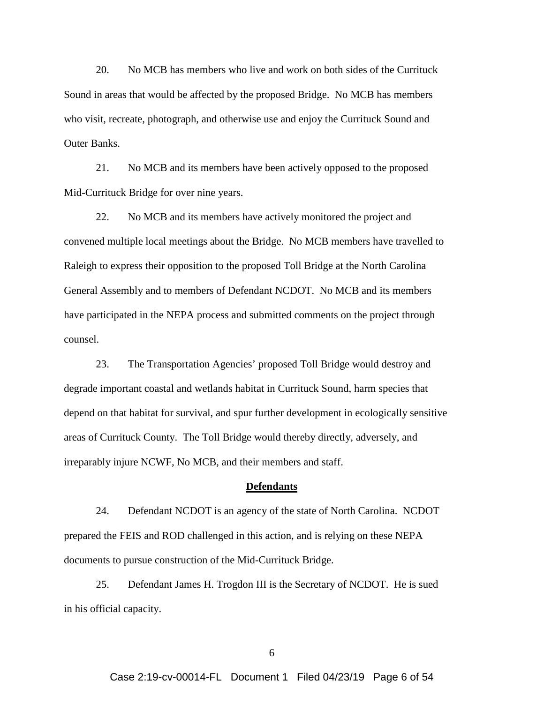20. No MCB has members who live and work on both sides of the Currituck Sound in areas that would be affected by the proposed Bridge. No MCB has members who visit, recreate, photograph, and otherwise use and enjoy the Currituck Sound and Outer Banks.

21. No MCB and its members have been actively opposed to the proposed Mid-Currituck Bridge for over nine years.

22. No MCB and its members have actively monitored the project and convened multiple local meetings about the Bridge. No MCB members have travelled to Raleigh to express their opposition to the proposed Toll Bridge at the North Carolina General Assembly and to members of Defendant NCDOT. No MCB and its members have participated in the NEPA process and submitted comments on the project through counsel.

23. The Transportation Agencies' proposed Toll Bridge would destroy and degrade important coastal and wetlands habitat in Currituck Sound, harm species that depend on that habitat for survival, and spur further development in ecologically sensitive areas of Currituck County. The Toll Bridge would thereby directly, adversely, and irreparably injure NCWF, No MCB, and their members and staff.

#### **Defendants**

24. Defendant NCDOT is an agency of the state of North Carolina. NCDOT prepared the FEIS and ROD challenged in this action, and is relying on these NEPA documents to pursue construction of the Mid-Currituck Bridge.

25. Defendant James H. Trogdon III is the Secretary of NCDOT. He is sued in his official capacity.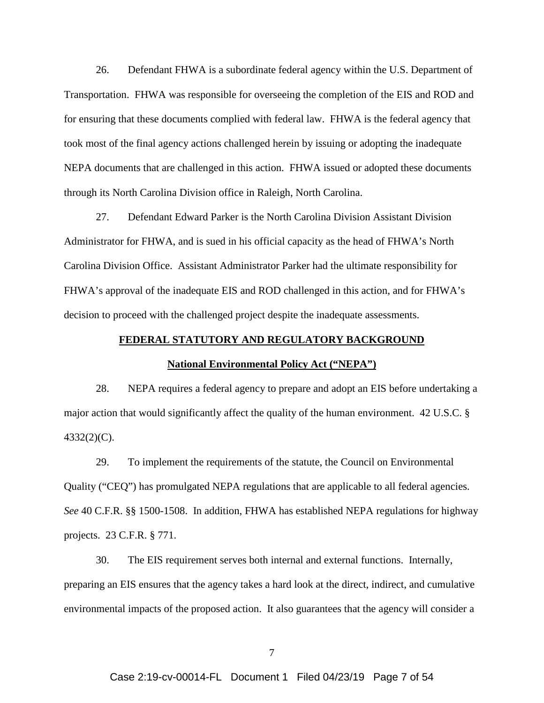26. Defendant FHWA is a subordinate federal agency within the U.S. Department of Transportation. FHWA was responsible for overseeing the completion of the EIS and ROD and for ensuring that these documents complied with federal law. FHWA is the federal agency that took most of the final agency actions challenged herein by issuing or adopting the inadequate NEPA documents that are challenged in this action. FHWA issued or adopted these documents through its North Carolina Division office in Raleigh, North Carolina.

27. Defendant Edward Parker is the North Carolina Division Assistant Division Administrator for FHWA, and is sued in his official capacity as the head of FHWA's North Carolina Division Office. Assistant Administrator Parker had the ultimate responsibility for FHWA's approval of the inadequate EIS and ROD challenged in this action, and for FHWA's decision to proceed with the challenged project despite the inadequate assessments.

## **FEDERAL STATUTORY AND REGULATORY BACKGROUND**

#### **National Environmental Policy Act ("NEPA")**

28. NEPA requires a federal agency to prepare and adopt an EIS before undertaking a major action that would significantly affect the quality of the human environment. 42 U.S.C. § 4332(2)(C).

29. To implement the requirements of the statute, the Council on Environmental Quality ("CEQ") has promulgated NEPA regulations that are applicable to all federal agencies. *See* 40 C.F.R. §§ 1500-1508. In addition, FHWA has established NEPA regulations for highway projects. 23 C.F.R. § 771.

30. The EIS requirement serves both internal and external functions. Internally, preparing an EIS ensures that the agency takes a hard look at the direct, indirect, and cumulative environmental impacts of the proposed action. It also guarantees that the agency will consider a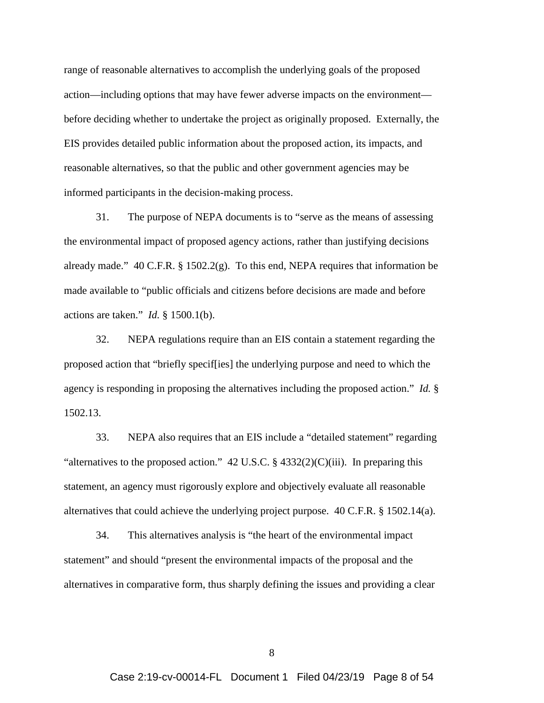range of reasonable alternatives to accomplish the underlying goals of the proposed action—including options that may have fewer adverse impacts on the environment before deciding whether to undertake the project as originally proposed. Externally, the EIS provides detailed public information about the proposed action, its impacts, and reasonable alternatives, so that the public and other government agencies may be informed participants in the decision-making process.

31. The purpose of NEPA documents is to "serve as the means of assessing the environmental impact of proposed agency actions, rather than justifying decisions already made." 40 C.F.R.  $\S$  1502.2(g). To this end, NEPA requires that information be made available to "public officials and citizens before decisions are made and before actions are taken." *Id.* § 1500.1(b).

32. NEPA regulations require than an EIS contain a statement regarding the proposed action that "briefly specif[ies] the underlying purpose and need to which the agency is responding in proposing the alternatives including the proposed action." *Id.* § 1502.13.

33. NEPA also requires that an EIS include a "detailed statement" regarding "alternatives to the proposed action." 42 U.S.C.  $\S$  4332(2)(C)(iii). In preparing this statement, an agency must rigorously explore and objectively evaluate all reasonable alternatives that could achieve the underlying project purpose. 40 C.F.R. § 1502.14(a).

34. This alternatives analysis is "the heart of the environmental impact statement" and should "present the environmental impacts of the proposal and the alternatives in comparative form, thus sharply defining the issues and providing a clear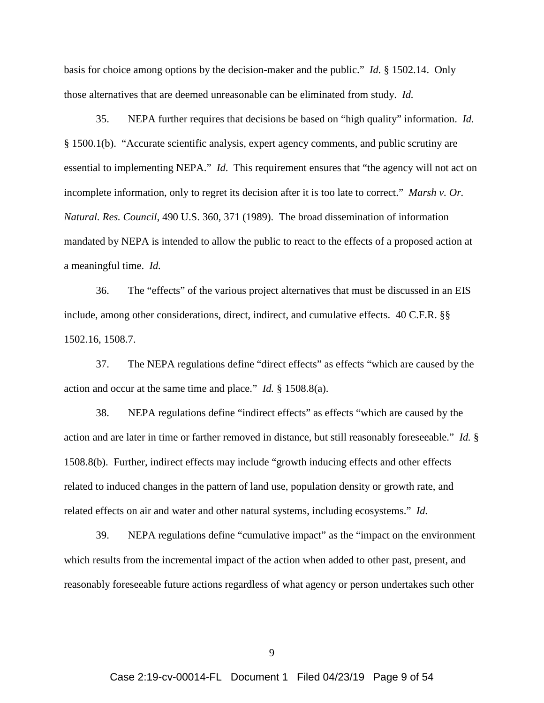basis for choice among options by the decision-maker and the public." *Id.* § 1502.14. Only those alternatives that are deemed unreasonable can be eliminated from study. *Id.* 

35. NEPA further requires that decisions be based on "high quality" information. *Id.* § 1500.1(b). "Accurate scientific analysis, expert agency comments, and public scrutiny are essential to implementing NEPA." *Id*. This requirement ensures that "the agency will not act on incomplete information, only to regret its decision after it is too late to correct." *Marsh v. Or. Natural. Res. Council*, 490 U.S. 360, 371 (1989). The broad dissemination of information mandated by NEPA is intended to allow the public to react to the effects of a proposed action at a meaningful time. *Id.*

36. The "effects" of the various project alternatives that must be discussed in an EIS include, among other considerations, direct, indirect, and cumulative effects. 40 C.F.R. §§ 1502.16, 1508.7.

37. The NEPA regulations define "direct effects" as effects "which are caused by the action and occur at the same time and place." *Id.* § 1508.8(a).

38. NEPA regulations define "indirect effects" as effects "which are caused by the action and are later in time or farther removed in distance, but still reasonably foreseeable." *Id.* § 1508.8(b). Further, indirect effects may include "growth inducing effects and other effects related to induced changes in the pattern of land use, population density or growth rate, and related effects on air and water and other natural systems, including ecosystems." *Id.*

39. NEPA regulations define "cumulative impact" as the "impact on the environment which results from the incremental impact of the action when added to other past, present, and reasonably foreseeable future actions regardless of what agency or person undertakes such other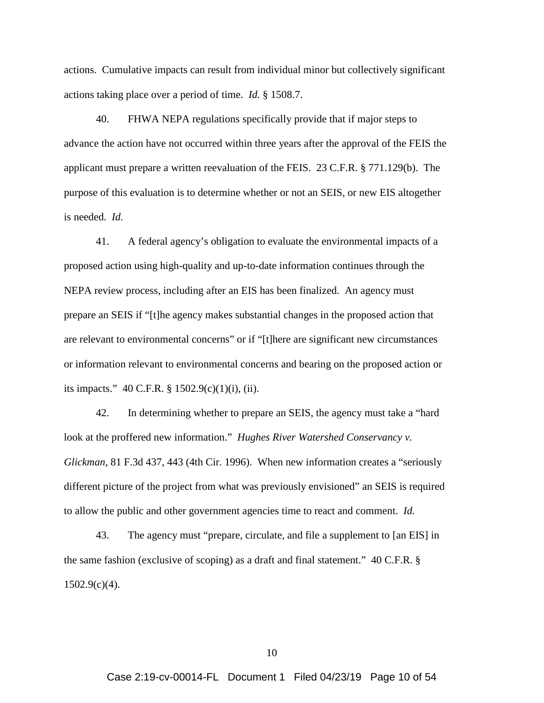actions. Cumulative impacts can result from individual minor but collectively significant actions taking place over a period of time. *Id.* § 1508.7.

40. FHWA NEPA regulations specifically provide that if major steps to advance the action have not occurred within three years after the approval of the FEIS the applicant must prepare a written reevaluation of the FEIS. 23 C.F.R. § 771.129(b). The purpose of this evaluation is to determine whether or not an SEIS, or new EIS altogether is needed. *Id.*

41. A federal agency's obligation to evaluate the environmental impacts of a proposed action using high-quality and up-to-date information continues through the NEPA review process, including after an EIS has been finalized. An agency must prepare an SEIS if "[t]he agency makes substantial changes in the proposed action that are relevant to environmental concerns" or if "[t]here are significant new circumstances or information relevant to environmental concerns and bearing on the proposed action or its impacts." 40 C.F.R. § 1502.9(c)(1)(i), (ii).

42. In determining whether to prepare an SEIS, the agency must take a "hard look at the proffered new information." *Hughes River Watershed Conservancy v. Glickman*, 81 F.3d 437, 443 (4th Cir. 1996). When new information creates a "seriously different picture of the project from what was previously envisioned" an SEIS is required to allow the public and other government agencies time to react and comment. *Id.*

43. The agency must "prepare, circulate, and file a supplement to [an EIS] in the same fashion (exclusive of scoping) as a draft and final statement." 40 C.F.R. §  $1502.9(c)(4)$ .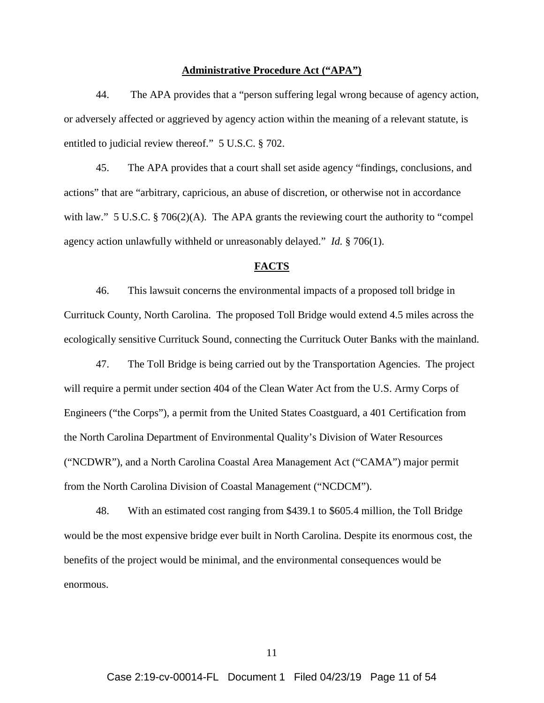#### **Administrative Procedure Act ("APA")**

44. The APA provides that a "person suffering legal wrong because of agency action, or adversely affected or aggrieved by agency action within the meaning of a relevant statute, is entitled to judicial review thereof." 5 U.S.C. § 702.

45. The APA provides that a court shall set aside agency "findings, conclusions, and actions" that are "arbitrary, capricious, an abuse of discretion, or otherwise not in accordance with law." 5 U.S.C. § 706(2)(A). The APA grants the reviewing court the authority to "compel agency action unlawfully withheld or unreasonably delayed." *Id.* § 706(1).

### **FACTS**

46. This lawsuit concerns the environmental impacts of a proposed toll bridge in Currituck County, North Carolina. The proposed Toll Bridge would extend 4.5 miles across the ecologically sensitive Currituck Sound, connecting the Currituck Outer Banks with the mainland.

47. The Toll Bridge is being carried out by the Transportation Agencies. The project will require a permit under section 404 of the Clean Water Act from the U.S. Army Corps of Engineers ("the Corps"), a permit from the United States Coastguard, a 401 Certification from the North Carolina Department of Environmental Quality's Division of Water Resources ("NCDWR"), and a North Carolina Coastal Area Management Act ("CAMA") major permit from the North Carolina Division of Coastal Management ("NCDCM").

48. With an estimated cost ranging from \$439.1 to \$605.4 million, the Toll Bridge would be the most expensive bridge ever built in North Carolina. Despite its enormous cost, the benefits of the project would be minimal, and the environmental consequences would be enormous.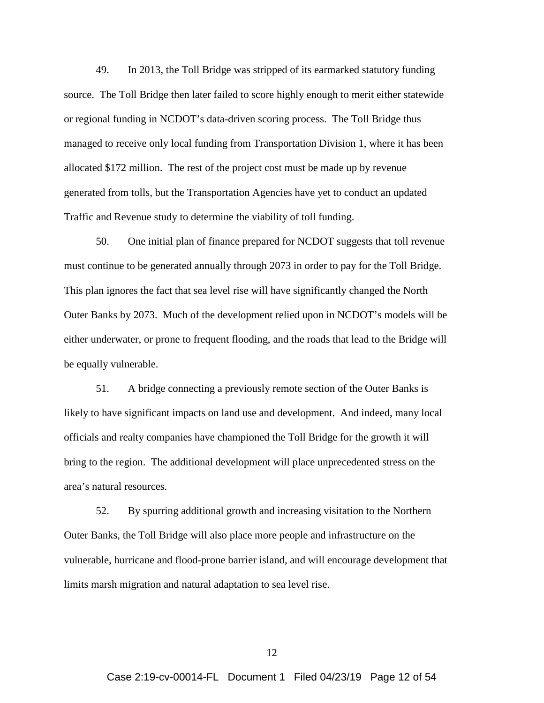49. In 2013, the Toll Bridge was stripped of its earmarked statutory funding source. The Toll Bridge then later failed to score highly enough to merit either statewide or regional funding in NCDOT's data-driven scoring process. The Toll Bridge thus managed to receive only local funding from Transportation Division 1, where it has been allocated \$172 million. The rest of the project cost must be made up by revenue generated from tolls, but the Transportation Agencies have yet to conduct an updated Traffic and Revenue study to determine the viability of toll funding.

50. One initial plan of finance prepared for NCDOT suggests that toll revenue must continue to be generated annually through 2073 in order to pay for the Toll Bridge. This plan ignores the fact that sea level rise will have significantly changed the North Outer Banks by 2073. Much of the development relied upon in NCDOT's models will be either underwater, or prone to frequent flooding, and the roads that lead to the Bridge will be equally vulnerable.

51. A bridge connecting a previously remote section of the Outer Banks is likely to have significant impacts on land use and development. And indeed, many local officials and realty companies have championed the Toll Bridge for the growth it will bring to the region. The additional development will place unprecedented stress on the area's natural resources.

52. By spurring additional growth and increasing visitation to the Northern Outer Banks, the Toll Bridge will also place more people and infrastructure on the vulnerable, hurricane and flood-prone barrier island, and will encourage development that limits marsh migration and natural adaptation to sea level rise.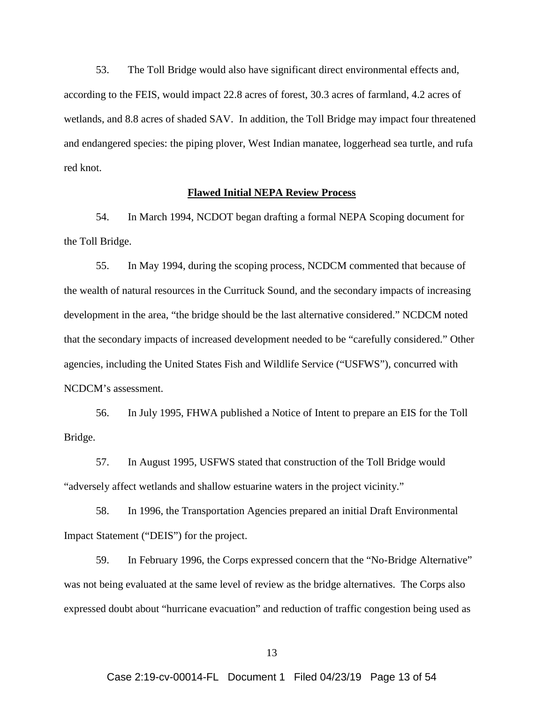53. The Toll Bridge would also have significant direct environmental effects and, according to the FEIS, would impact 22.8 acres of forest, 30.3 acres of farmland, 4.2 acres of wetlands, and 8.8 acres of shaded SAV. In addition, the Toll Bridge may impact four threatened and endangered species: the piping plover, West Indian manatee, loggerhead sea turtle, and rufa red knot.

### **Flawed Initial NEPA Review Process**

54. In March 1994, NCDOT began drafting a formal NEPA Scoping document for the Toll Bridge.

55. In May 1994, during the scoping process, NCDCM commented that because of the wealth of natural resources in the Currituck Sound, and the secondary impacts of increasing development in the area, "the bridge should be the last alternative considered." NCDCM noted that the secondary impacts of increased development needed to be "carefully considered." Other agencies, including the United States Fish and Wildlife Service ("USFWS"), concurred with NCDCM's assessment.

56. In July 1995, FHWA published a Notice of Intent to prepare an EIS for the Toll Bridge.

57. In August 1995, USFWS stated that construction of the Toll Bridge would "adversely affect wetlands and shallow estuarine waters in the project vicinity."

58. In 1996, the Transportation Agencies prepared an initial Draft Environmental Impact Statement ("DEIS") for the project.

59. In February 1996, the Corps expressed concern that the "No-Bridge Alternative" was not being evaluated at the same level of review as the bridge alternatives. The Corps also expressed doubt about "hurricane evacuation" and reduction of traffic congestion being used as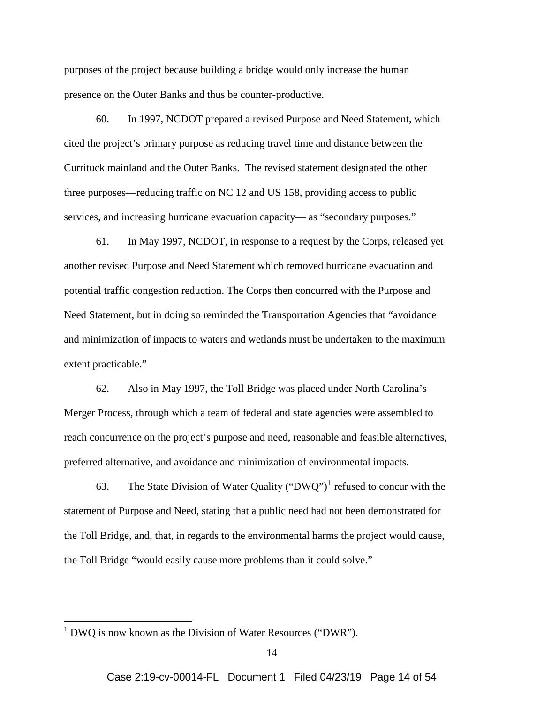purposes of the project because building a bridge would only increase the human presence on the Outer Banks and thus be counter-productive.

60. In 1997, NCDOT prepared a revised Purpose and Need Statement, which cited the project's primary purpose as reducing travel time and distance between the Currituck mainland and the Outer Banks. The revised statement designated the other three purposes—reducing traffic on NC 12 and US 158, providing access to public services, and increasing hurricane evacuation capacity— as "secondary purposes."

61. In May 1997, NCDOT, in response to a request by the Corps, released yet another revised Purpose and Need Statement which removed hurricane evacuation and potential traffic congestion reduction. The Corps then concurred with the Purpose and Need Statement, but in doing so reminded the Transportation Agencies that "avoidance and minimization of impacts to waters and wetlands must be undertaken to the maximum extent practicable."

62. Also in May 1997, the Toll Bridge was placed under North Carolina's Merger Process, through which a team of federal and state agencies were assembled to reach concurrence on the project's purpose and need, reasonable and feasible alternatives, preferred alternative, and avoidance and minimization of environmental impacts.

63. The State Division of Water Quality ("DWQ")<sup>[1](#page-13-0)</sup> refused to concur with the statement of Purpose and Need, stating that a public need had not been demonstrated for the Toll Bridge, and, that, in regards to the environmental harms the project would cause, the Toll Bridge "would easily cause more problems than it could solve."

<span id="page-13-0"></span> $1$  DWQ is now known as the Division of Water Resources ("DWR").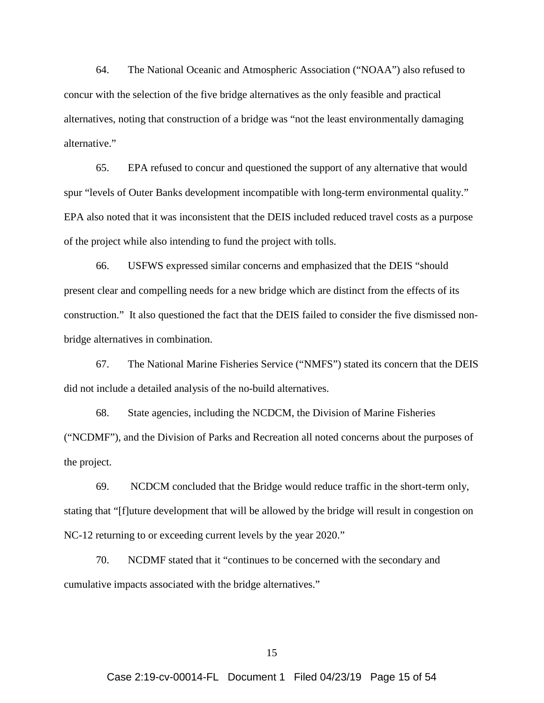64. The National Oceanic and Atmospheric Association ("NOAA") also refused to concur with the selection of the five bridge alternatives as the only feasible and practical alternatives, noting that construction of a bridge was "not the least environmentally damaging alternative."

65. EPA refused to concur and questioned the support of any alternative that would spur "levels of Outer Banks development incompatible with long-term environmental quality." EPA also noted that it was inconsistent that the DEIS included reduced travel costs as a purpose of the project while also intending to fund the project with tolls.

66. USFWS expressed similar concerns and emphasized that the DEIS "should present clear and compelling needs for a new bridge which are distinct from the effects of its construction." It also questioned the fact that the DEIS failed to consider the five dismissed nonbridge alternatives in combination.

67. The National Marine Fisheries Service ("NMFS") stated its concern that the DEIS did not include a detailed analysis of the no-build alternatives.

68. State agencies, including the NCDCM, the Division of Marine Fisheries ("NCDMF"), and the Division of Parks and Recreation all noted concerns about the purposes of the project.

69. NCDCM concluded that the Bridge would reduce traffic in the short-term only, stating that "[f]uture development that will be allowed by the bridge will result in congestion on NC-12 returning to or exceeding current levels by the year 2020."

70. NCDMF stated that it "continues to be concerned with the secondary and cumulative impacts associated with the bridge alternatives."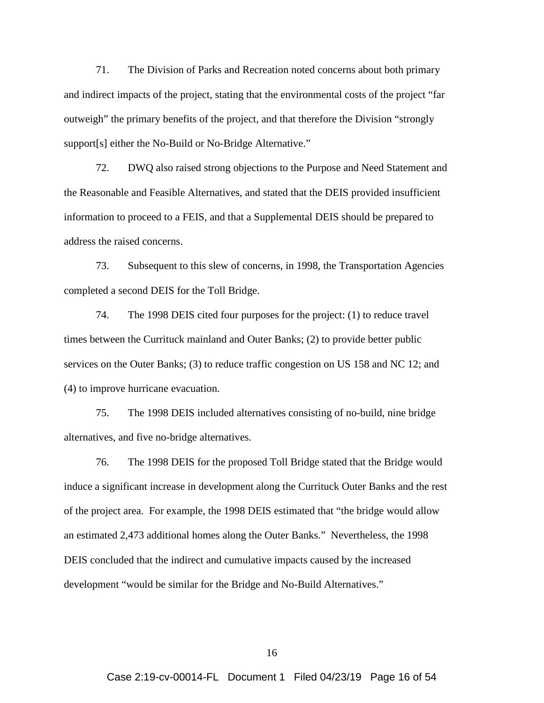71. The Division of Parks and Recreation noted concerns about both primary and indirect impacts of the project, stating that the environmental costs of the project "far outweigh" the primary benefits of the project, and that therefore the Division "strongly support[s] either the No-Build or No-Bridge Alternative."

72. DWQ also raised strong objections to the Purpose and Need Statement and the Reasonable and Feasible Alternatives, and stated that the DEIS provided insufficient information to proceed to a FEIS, and that a Supplemental DEIS should be prepared to address the raised concerns.

73. Subsequent to this slew of concerns, in 1998, the Transportation Agencies completed a second DEIS for the Toll Bridge.

74. The 1998 DEIS cited four purposes for the project: (1) to reduce travel times between the Currituck mainland and Outer Banks; (2) to provide better public services on the Outer Banks; (3) to reduce traffic congestion on US 158 and NC 12; and (4) to improve hurricane evacuation.

75. The 1998 DEIS included alternatives consisting of no-build, nine bridge alternatives, and five no-bridge alternatives.

76. The 1998 DEIS for the proposed Toll Bridge stated that the Bridge would induce a significant increase in development along the Currituck Outer Banks and the rest of the project area. For example, the 1998 DEIS estimated that "the bridge would allow an estimated 2,473 additional homes along the Outer Banks." Nevertheless, the 1998 DEIS concluded that the indirect and cumulative impacts caused by the increased development "would be similar for the Bridge and No-Build Alternatives."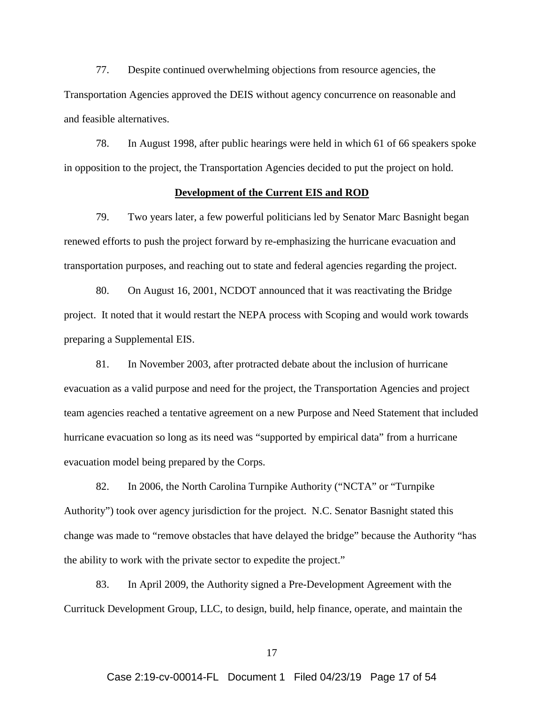77. Despite continued overwhelming objections from resource agencies, the Transportation Agencies approved the DEIS without agency concurrence on reasonable and and feasible alternatives.

78. In August 1998, after public hearings were held in which 61 of 66 speakers spoke in opposition to the project, the Transportation Agencies decided to put the project on hold.

## **Development of the Current EIS and ROD**

79. Two years later, a few powerful politicians led by Senator Marc Basnight began renewed efforts to push the project forward by re-emphasizing the hurricane evacuation and transportation purposes, and reaching out to state and federal agencies regarding the project.

80. On August 16, 2001, NCDOT announced that it was reactivating the Bridge project. It noted that it would restart the NEPA process with Scoping and would work towards preparing a Supplemental EIS.

81. In November 2003, after protracted debate about the inclusion of hurricane evacuation as a valid purpose and need for the project, the Transportation Agencies and project team agencies reached a tentative agreement on a new Purpose and Need Statement that included hurricane evacuation so long as its need was "supported by empirical data" from a hurricane evacuation model being prepared by the Corps.

82. In 2006, the North Carolina Turnpike Authority ("NCTA" or "Turnpike Authority") took over agency jurisdiction for the project. N.C. Senator Basnight stated this change was made to "remove obstacles that have delayed the bridge" because the Authority "has the ability to work with the private sector to expedite the project."

83. In April 2009, the Authority signed a Pre-Development Agreement with the Currituck Development Group, LLC, to design, build, help finance, operate, and maintain the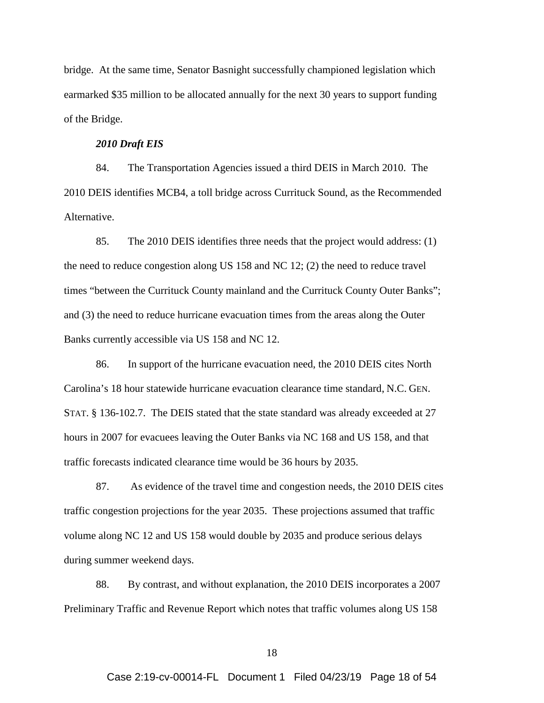bridge. At the same time, Senator Basnight successfully championed legislation which earmarked \$35 million to be allocated annually for the next 30 years to support funding of the Bridge.

### *2010 Draft EIS*

84. The Transportation Agencies issued a third DEIS in March 2010. The 2010 DEIS identifies MCB4, a toll bridge across Currituck Sound, as the Recommended Alternative.

85. The 2010 DEIS identifies three needs that the project would address: (1) the need to reduce congestion along US 158 and NC 12; (2) the need to reduce travel times "between the Currituck County mainland and the Currituck County Outer Banks"; and (3) the need to reduce hurricane evacuation times from the areas along the Outer Banks currently accessible via US 158 and NC 12.

86. In support of the hurricane evacuation need, the 2010 DEIS cites North Carolina's 18 hour statewide hurricane evacuation clearance time standard, N.C. GEN. STAT. § 136-102.7. The DEIS stated that the state standard was already exceeded at 27 hours in 2007 for evacuees leaving the Outer Banks via NC 168 and US 158, and that traffic forecasts indicated clearance time would be 36 hours by 2035.

87. As evidence of the travel time and congestion needs, the 2010 DEIS cites traffic congestion projections for the year 2035. These projections assumed that traffic volume along NC 12 and US 158 would double by 2035 and produce serious delays during summer weekend days.

88. By contrast, and without explanation, the 2010 DEIS incorporates a 2007 Preliminary Traffic and Revenue Report which notes that traffic volumes along US 158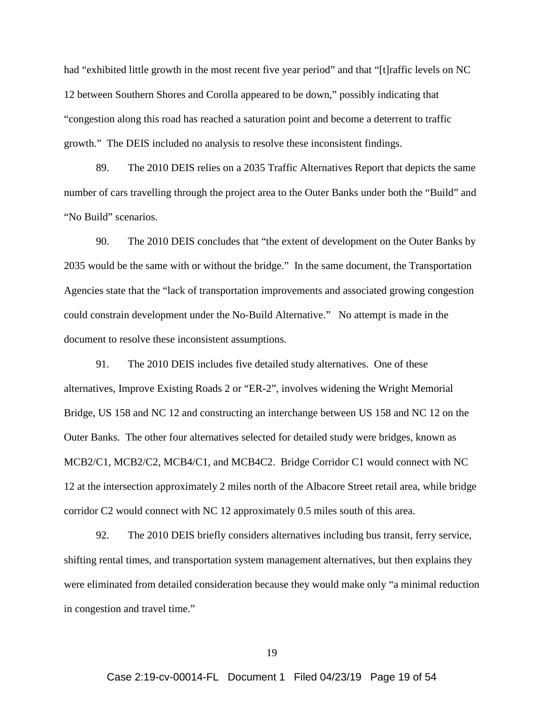had "exhibited little growth in the most recent five year period" and that "[t]raffic levels on NC 12 between Southern Shores and Corolla appeared to be down," possibly indicating that "congestion along this road has reached a saturation point and become a deterrent to traffic growth." The DEIS included no analysis to resolve these inconsistent findings.

89. The 2010 DEIS relies on a 2035 Traffic Alternatives Report that depicts the same number of cars travelling through the project area to the Outer Banks under both the "Build" and "No Build" scenarios.

90. The 2010 DEIS concludes that "the extent of development on the Outer Banks by 2035 would be the same with or without the bridge." In the same document, the Transportation Agencies state that the "lack of transportation improvements and associated growing congestion could constrain development under the No-Build Alternative." No attempt is made in the document to resolve these inconsistent assumptions.

91. The 2010 DEIS includes five detailed study alternatives. One of these alternatives, Improve Existing Roads 2 or "ER-2", involves widening the Wright Memorial Bridge, US 158 and NC 12 and constructing an interchange between US 158 and NC 12 on the Outer Banks. The other four alternatives selected for detailed study were bridges, known as MCB2/C1, MCB2/C2, MCB4/C1, and MCB4C2. Bridge Corridor C1 would connect with NC 12 at the intersection approximately 2 miles north of the Albacore Street retail area, while bridge corridor C2 would connect with NC 12 approximately 0.5 miles south of this area.

92. The 2010 DEIS briefly considers alternatives including bus transit, ferry service, shifting rental times, and transportation system management alternatives, but then explains they were eliminated from detailed consideration because they would make only "a minimal reduction in congestion and travel time."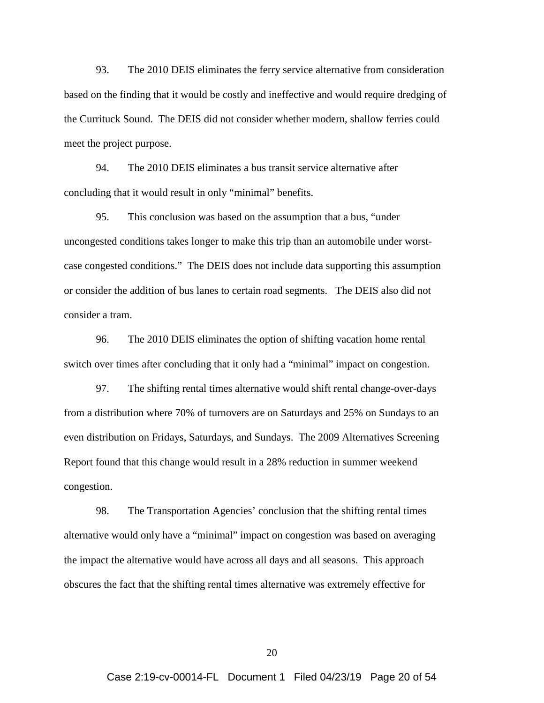93. The 2010 DEIS eliminates the ferry service alternative from consideration based on the finding that it would be costly and ineffective and would require dredging of the Currituck Sound. The DEIS did not consider whether modern, shallow ferries could meet the project purpose.

94. The 2010 DEIS eliminates a bus transit service alternative after concluding that it would result in only "minimal" benefits.

95. This conclusion was based on the assumption that a bus, "under uncongested conditions takes longer to make this trip than an automobile under worstcase congested conditions." The DEIS does not include data supporting this assumption or consider the addition of bus lanes to certain road segments. The DEIS also did not consider a tram.

96. The 2010 DEIS eliminates the option of shifting vacation home rental switch over times after concluding that it only had a "minimal" impact on congestion.

97. The shifting rental times alternative would shift rental change-over-days from a distribution where 70% of turnovers are on Saturdays and 25% on Sundays to an even distribution on Fridays, Saturdays, and Sundays. The 2009 Alternatives Screening Report found that this change would result in a 28% reduction in summer weekend congestion.

98. The Transportation Agencies' conclusion that the shifting rental times alternative would only have a "minimal" impact on congestion was based on averaging the impact the alternative would have across all days and all seasons. This approach obscures the fact that the shifting rental times alternative was extremely effective for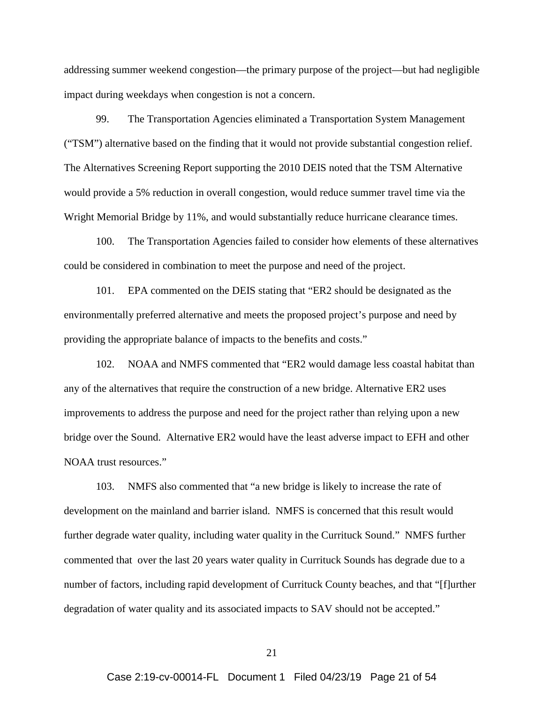addressing summer weekend congestion—the primary purpose of the project—but had negligible impact during weekdays when congestion is not a concern.

99. The Transportation Agencies eliminated a Transportation System Management ("TSM") alternative based on the finding that it would not provide substantial congestion relief. The Alternatives Screening Report supporting the 2010 DEIS noted that the TSM Alternative would provide a 5% reduction in overall congestion, would reduce summer travel time via the Wright Memorial Bridge by 11%, and would substantially reduce hurricane clearance times.

100. The Transportation Agencies failed to consider how elements of these alternatives could be considered in combination to meet the purpose and need of the project.

101. EPA commented on the DEIS stating that "ER2 should be designated as the environmentally preferred alternative and meets the proposed project's purpose and need by providing the appropriate balance of impacts to the benefits and costs."

102. NOAA and NMFS commented that "ER2 would damage less coastal habitat than any of the alternatives that require the construction of a new bridge. Alternative ER2 uses improvements to address the purpose and need for the project rather than relying upon a new bridge over the Sound. Alternative ER2 would have the least adverse impact to EFH and other NOAA trust resources."

103. NMFS also commented that "a new bridge is likely to increase the rate of development on the mainland and barrier island. NMFS is concerned that this result would further degrade water quality, including water quality in the Currituck Sound." NMFS further commented that over the last 20 years water quality in Currituck Sounds has degrade due to a number of factors, including rapid development of Currituck County beaches, and that "[f]urther degradation of water quality and its associated impacts to SAV should not be accepted."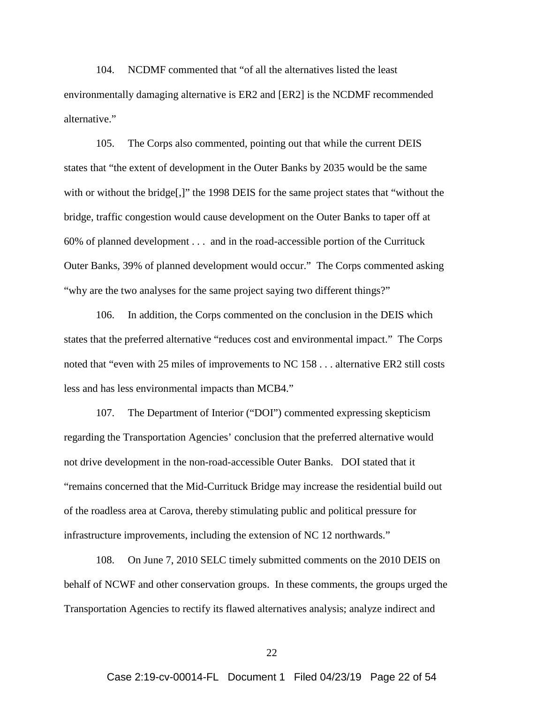104. NCDMF commented that "of all the alternatives listed the least environmentally damaging alternative is ER2 and [ER2] is the NCDMF recommended alternative."

105. The Corps also commented, pointing out that while the current DEIS states that "the extent of development in the Outer Banks by 2035 would be the same with or without the bridge[,]" the 1998 DEIS for the same project states that "without the bridge, traffic congestion would cause development on the Outer Banks to taper off at 60% of planned development . . . and in the road-accessible portion of the Currituck Outer Banks, 39% of planned development would occur." The Corps commented asking "why are the two analyses for the same project saying two different things?"

106. In addition, the Corps commented on the conclusion in the DEIS which states that the preferred alternative "reduces cost and environmental impact." The Corps noted that "even with 25 miles of improvements to NC 158 . . . alternative ER2 still costs less and has less environmental impacts than MCB4."

107. The Department of Interior ("DOI") commented expressing skepticism regarding the Transportation Agencies' conclusion that the preferred alternative would not drive development in the non-road-accessible Outer Banks. DOI stated that it "remains concerned that the Mid-Currituck Bridge may increase the residential build out of the roadless area at Carova, thereby stimulating public and political pressure for infrastructure improvements, including the extension of NC 12 northwards."

108. On June 7, 2010 SELC timely submitted comments on the 2010 DEIS on behalf of NCWF and other conservation groups. In these comments, the groups urged the Transportation Agencies to rectify its flawed alternatives analysis; analyze indirect and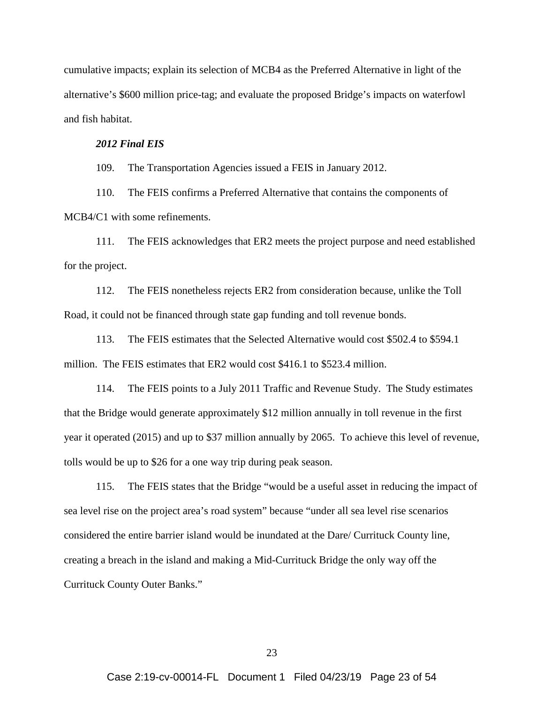cumulative impacts; explain its selection of MCB4 as the Preferred Alternative in light of the alternative's \$600 million price-tag; and evaluate the proposed Bridge's impacts on waterfowl and fish habitat.

### *2012 Final EIS*

109. The Transportation Agencies issued a FEIS in January 2012.

110. The FEIS confirms a Preferred Alternative that contains the components of MCB4/C1 with some refinements.

111. The FEIS acknowledges that ER2 meets the project purpose and need established for the project.

112. The FEIS nonetheless rejects ER2 from consideration because, unlike the Toll Road, it could not be financed through state gap funding and toll revenue bonds.

113. The FEIS estimates that the Selected Alternative would cost \$502.4 to \$594.1 million. The FEIS estimates that ER2 would cost \$416.1 to \$523.4 million.

114. The FEIS points to a July 2011 Traffic and Revenue Study. The Study estimates that the Bridge would generate approximately \$12 million annually in toll revenue in the first year it operated (2015) and up to \$37 million annually by 2065. To achieve this level of revenue, tolls would be up to \$26 for a one way trip during peak season.

115. The FEIS states that the Bridge "would be a useful asset in reducing the impact of sea level rise on the project area's road system" because "under all sea level rise scenarios considered the entire barrier island would be inundated at the Dare/ Currituck County line, creating a breach in the island and making a Mid-Currituck Bridge the only way off the Currituck County Outer Banks."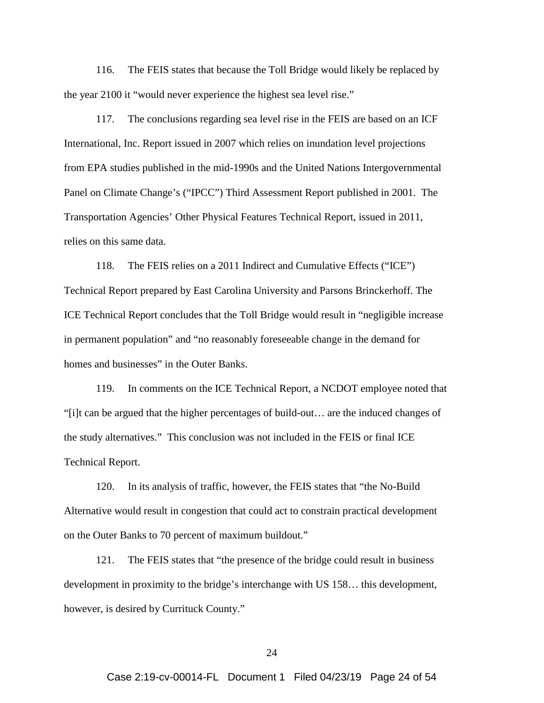116. The FEIS states that because the Toll Bridge would likely be replaced by the year 2100 it "would never experience the highest sea level rise."

117. The conclusions regarding sea level rise in the FEIS are based on an ICF International, Inc. Report issued in 2007 which relies on inundation level projections from EPA studies published in the mid-1990s and the United Nations Intergovernmental Panel on Climate Change's ("IPCC") Third Assessment Report published in 2001. The Transportation Agencies' Other Physical Features Technical Report, issued in 2011, relies on this same data.

118. The FEIS relies on a 2011 Indirect and Cumulative Effects ("ICE") Technical Report prepared by East Carolina University and Parsons Brinckerhoff. The ICE Technical Report concludes that the Toll Bridge would result in "negligible increase in permanent population" and "no reasonably foreseeable change in the demand for homes and businesses" in the Outer Banks.

119. In comments on the ICE Technical Report, a NCDOT employee noted that "[i]t can be argued that the higher percentages of build-out… are the induced changes of the study alternatives." This conclusion was not included in the FEIS or final ICE Technical Report.

120. In its analysis of traffic, however, the FEIS states that "the No-Build Alternative would result in congestion that could act to constrain practical development on the Outer Banks to 70 percent of maximum buildout."

121. The FEIS states that "the presence of the bridge could result in business development in proximity to the bridge's interchange with US 158… this development, however, is desired by Currituck County."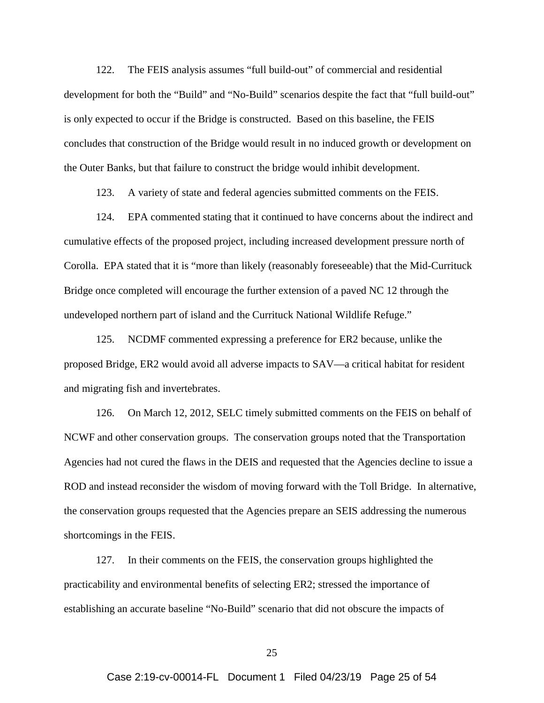122. The FEIS analysis assumes "full build-out" of commercial and residential development for both the "Build" and "No-Build" scenarios despite the fact that "full build-out" is only expected to occur if the Bridge is constructed. Based on this baseline, the FEIS concludes that construction of the Bridge would result in no induced growth or development on the Outer Banks, but that failure to construct the bridge would inhibit development.

123. A variety of state and federal agencies submitted comments on the FEIS.

124. EPA commented stating that it continued to have concerns about the indirect and cumulative effects of the proposed project, including increased development pressure north of Corolla. EPA stated that it is "more than likely (reasonably foreseeable) that the Mid-Currituck Bridge once completed will encourage the further extension of a paved NC 12 through the undeveloped northern part of island and the Currituck National Wildlife Refuge."

125. NCDMF commented expressing a preference for ER2 because, unlike the proposed Bridge, ER2 would avoid all adverse impacts to SAV—a critical habitat for resident and migrating fish and invertebrates.

126. On March 12, 2012, SELC timely submitted comments on the FEIS on behalf of NCWF and other conservation groups. The conservation groups noted that the Transportation Agencies had not cured the flaws in the DEIS and requested that the Agencies decline to issue a ROD and instead reconsider the wisdom of moving forward with the Toll Bridge. In alternative, the conservation groups requested that the Agencies prepare an SEIS addressing the numerous shortcomings in the FEIS.

127. In their comments on the FEIS, the conservation groups highlighted the practicability and environmental benefits of selecting ER2; stressed the importance of establishing an accurate baseline "No-Build" scenario that did not obscure the impacts of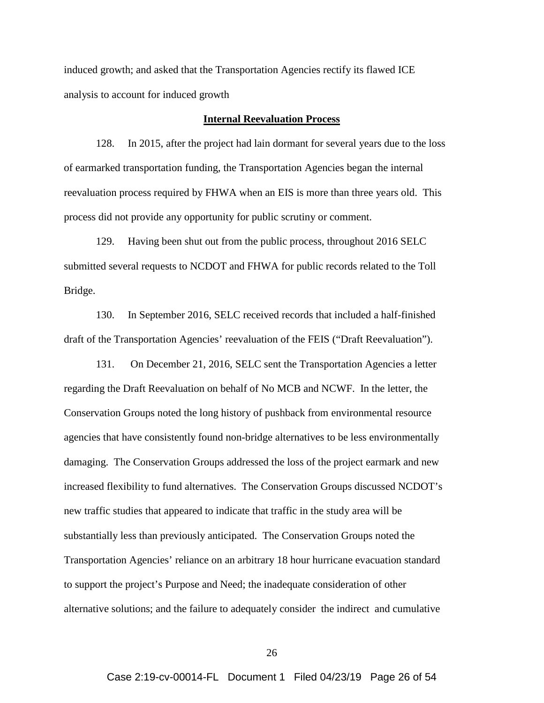induced growth; and asked that the Transportation Agencies rectify its flawed ICE analysis to account for induced growth

### **Internal Reevaluation Process**

128. In 2015, after the project had lain dormant for several years due to the loss of earmarked transportation funding, the Transportation Agencies began the internal reevaluation process required by FHWA when an EIS is more than three years old. This process did not provide any opportunity for public scrutiny or comment.

129. Having been shut out from the public process, throughout 2016 SELC submitted several requests to NCDOT and FHWA for public records related to the Toll Bridge.

130. In September 2016, SELC received records that included a half-finished draft of the Transportation Agencies' reevaluation of the FEIS ("Draft Reevaluation").

131. On December 21, 2016, SELC sent the Transportation Agencies a letter regarding the Draft Reevaluation on behalf of No MCB and NCWF. In the letter, the Conservation Groups noted the long history of pushback from environmental resource agencies that have consistently found non-bridge alternatives to be less environmentally damaging. The Conservation Groups addressed the loss of the project earmark and new increased flexibility to fund alternatives. The Conservation Groups discussed NCDOT's new traffic studies that appeared to indicate that traffic in the study area will be substantially less than previously anticipated. The Conservation Groups noted the Transportation Agencies' reliance on an arbitrary 18 hour hurricane evacuation standard to support the project's Purpose and Need; the inadequate consideration of other alternative solutions; and the failure to adequately consider the indirect and cumulative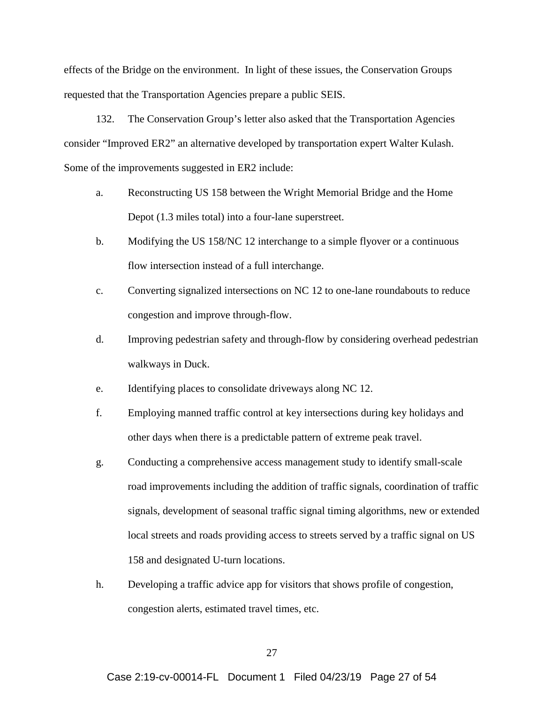effects of the Bridge on the environment. In light of these issues, the Conservation Groups requested that the Transportation Agencies prepare a public SEIS.

132. The Conservation Group's letter also asked that the Transportation Agencies consider "Improved ER2" an alternative developed by transportation expert Walter Kulash. Some of the improvements suggested in ER2 include:

- a. Reconstructing US 158 between the Wright Memorial Bridge and the Home Depot (1.3 miles total) into a four-lane superstreet.
- b. Modifying the US 158/NC 12 interchange to a simple flyover or a continuous flow intersection instead of a full interchange.
- c. Converting signalized intersections on NC 12 to one-lane roundabouts to reduce congestion and improve through-flow.
- d. Improving pedestrian safety and through-flow by considering overhead pedestrian walkways in Duck.
- e. Identifying places to consolidate driveways along NC 12.
- f. Employing manned traffic control at key intersections during key holidays and other days when there is a predictable pattern of extreme peak travel.
- g. Conducting a comprehensive access management study to identify small-scale road improvements including the addition of traffic signals, coordination of traffic signals, development of seasonal traffic signal timing algorithms, new or extended local streets and roads providing access to streets served by a traffic signal on US 158 and designated U-turn locations.
- h. Developing a traffic advice app for visitors that shows profile of congestion, congestion alerts, estimated travel times, etc.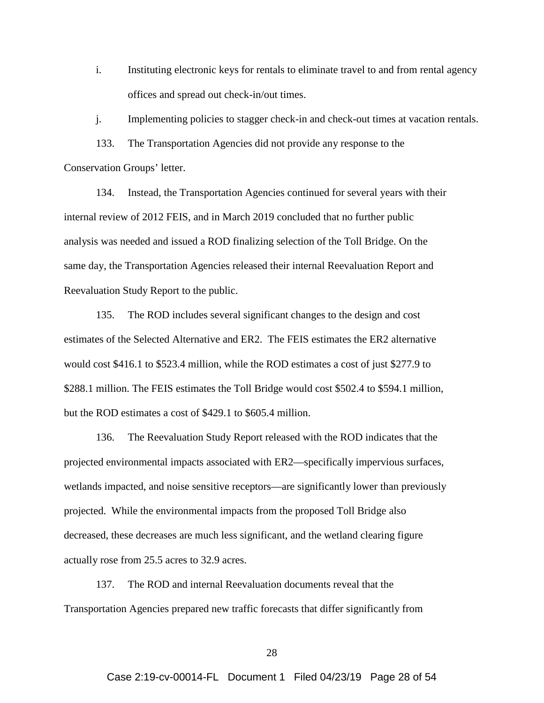i. Instituting electronic keys for rentals to eliminate travel to and from rental agency offices and spread out check-in/out times.

j. Implementing policies to stagger check-in and check-out times at vacation rentals.

133. The Transportation Agencies did not provide any response to the Conservation Groups' letter.

134. Instead, the Transportation Agencies continued for several years with their internal review of 2012 FEIS, and in March 2019 concluded that no further public analysis was needed and issued a ROD finalizing selection of the Toll Bridge. On the same day, the Transportation Agencies released their internal Reevaluation Report and Reevaluation Study Report to the public.

135. The ROD includes several significant changes to the design and cost estimates of the Selected Alternative and ER2. The FEIS estimates the ER2 alternative would cost \$416.1 to \$523.4 million, while the ROD estimates a cost of just \$277.9 to \$288.1 million. The FEIS estimates the Toll Bridge would cost \$502.4 to \$594.1 million, but the ROD estimates a cost of \$429.1 to \$605.4 million.

136. The Reevaluation Study Report released with the ROD indicates that the projected environmental impacts associated with ER2—specifically impervious surfaces, wetlands impacted, and noise sensitive receptors—are significantly lower than previously projected. While the environmental impacts from the proposed Toll Bridge also decreased, these decreases are much less significant, and the wetland clearing figure actually rose from 25.5 acres to 32.9 acres.

137. The ROD and internal Reevaluation documents reveal that the Transportation Agencies prepared new traffic forecasts that differ significantly from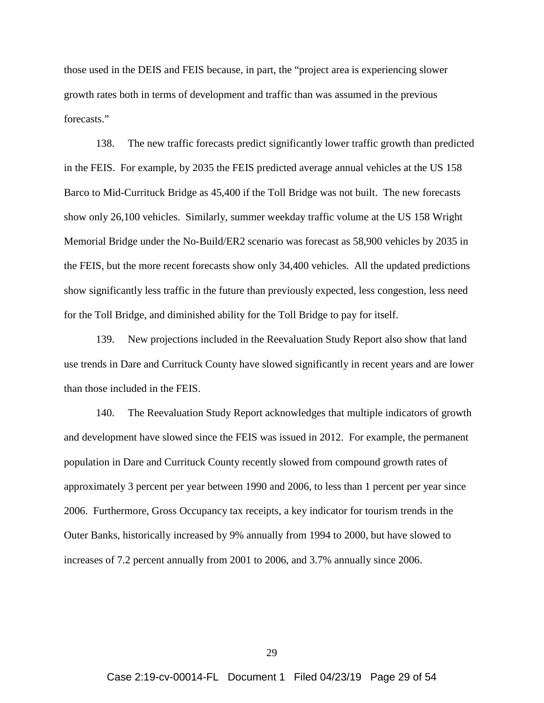those used in the DEIS and FEIS because, in part, the "project area is experiencing slower growth rates both in terms of development and traffic than was assumed in the previous forecasts."

138. The new traffic forecasts predict significantly lower traffic growth than predicted in the FEIS. For example, by 2035 the FEIS predicted average annual vehicles at the US 158 Barco to Mid-Currituck Bridge as 45,400 if the Toll Bridge was not built. The new forecasts show only 26,100 vehicles. Similarly, summer weekday traffic volume at the US 158 Wright Memorial Bridge under the No-Build/ER2 scenario was forecast as 58,900 vehicles by 2035 in the FEIS, but the more recent forecasts show only 34,400 vehicles. All the updated predictions show significantly less traffic in the future than previously expected, less congestion, less need for the Toll Bridge, and diminished ability for the Toll Bridge to pay for itself.

139. New projections included in the Reevaluation Study Report also show that land use trends in Dare and Currituck County have slowed significantly in recent years and are lower than those included in the FEIS.

140. The Reevaluation Study Report acknowledges that multiple indicators of growth and development have slowed since the FEIS was issued in 2012. For example, the permanent population in Dare and Currituck County recently slowed from compound growth rates of approximately 3 percent per year between 1990 and 2006, to less than 1 percent per year since 2006. Furthermore, Gross Occupancy tax receipts, a key indicator for tourism trends in the Outer Banks, historically increased by 9% annually from 1994 to 2000, but have slowed to increases of 7.2 percent annually from 2001 to 2006, and 3.7% annually since 2006.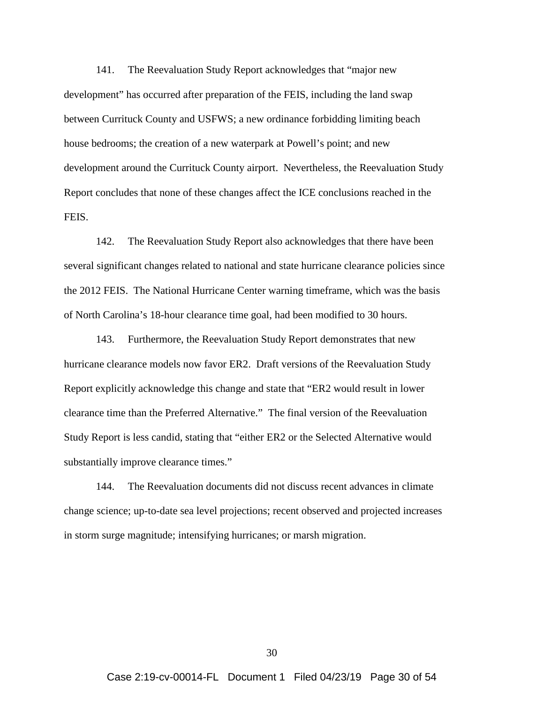141. The Reevaluation Study Report acknowledges that "major new development" has occurred after preparation of the FEIS, including the land swap between Currituck County and USFWS; a new ordinance forbidding limiting beach house bedrooms; the creation of a new waterpark at Powell's point; and new development around the Currituck County airport. Nevertheless, the Reevaluation Study Report concludes that none of these changes affect the ICE conclusions reached in the FEIS.

142. The Reevaluation Study Report also acknowledges that there have been several significant changes related to national and state hurricane clearance policies since the 2012 FEIS. The National Hurricane Center warning timeframe, which was the basis of North Carolina's 18-hour clearance time goal, had been modified to 30 hours.

143. Furthermore, the Reevaluation Study Report demonstrates that new hurricane clearance models now favor ER2. Draft versions of the Reevaluation Study Report explicitly acknowledge this change and state that "ER2 would result in lower clearance time than the Preferred Alternative." The final version of the Reevaluation Study Report is less candid, stating that "either ER2 or the Selected Alternative would substantially improve clearance times."

144. The Reevaluation documents did not discuss recent advances in climate change science; up-to-date sea level projections; recent observed and projected increases in storm surge magnitude; intensifying hurricanes; or marsh migration.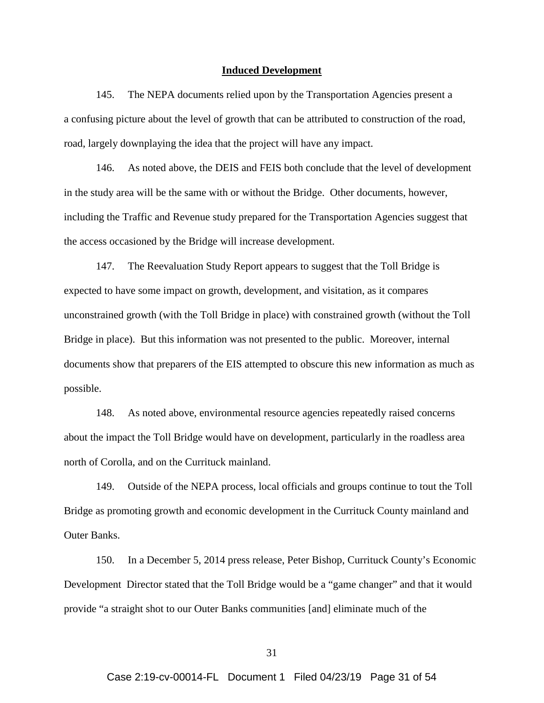#### **Induced Development**

145. The NEPA documents relied upon by the Transportation Agencies present a a confusing picture about the level of growth that can be attributed to construction of the road, road, largely downplaying the idea that the project will have any impact.

146. As noted above, the DEIS and FEIS both conclude that the level of development in the study area will be the same with or without the Bridge. Other documents, however, including the Traffic and Revenue study prepared for the Transportation Agencies suggest that the access occasioned by the Bridge will increase development.

147. The Reevaluation Study Report appears to suggest that the Toll Bridge is expected to have some impact on growth, development, and visitation, as it compares unconstrained growth (with the Toll Bridge in place) with constrained growth (without the Toll Bridge in place). But this information was not presented to the public. Moreover, internal documents show that preparers of the EIS attempted to obscure this new information as much as possible.

148. As noted above, environmental resource agencies repeatedly raised concerns about the impact the Toll Bridge would have on development, particularly in the roadless area north of Corolla, and on the Currituck mainland.

149. Outside of the NEPA process, local officials and groups continue to tout the Toll Bridge as promoting growth and economic development in the Currituck County mainland and Outer Banks.

150. In a December 5, 2014 press release, Peter Bishop, Currituck County's Economic Development Director stated that the Toll Bridge would be a "game changer" and that it would provide "a straight shot to our Outer Banks communities [and] eliminate much of the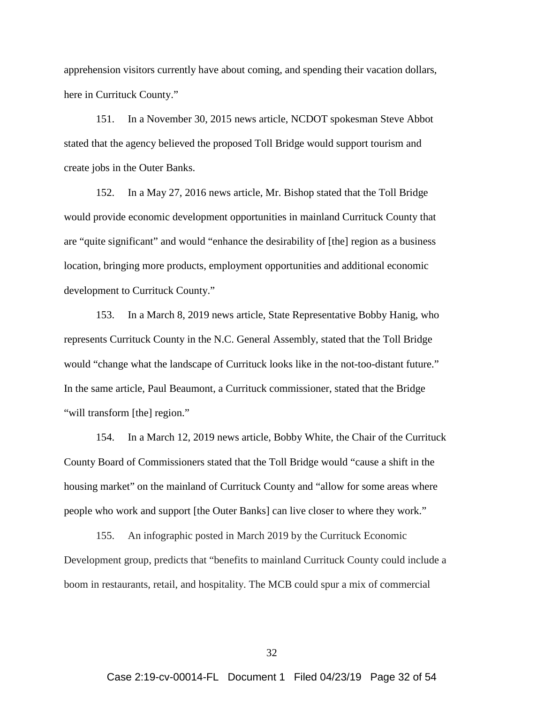apprehension visitors currently have about coming, and spending their vacation dollars, here in Currituck County."

151. In a November 30, 2015 news article, NCDOT spokesman Steve Abbot stated that the agency believed the proposed Toll Bridge would support tourism and create jobs in the Outer Banks.

152. In a May 27, 2016 news article, Mr. Bishop stated that the Toll Bridge would provide economic development opportunities in mainland Currituck County that are "quite significant" and would "enhance the desirability of [the] region as a business location, bringing more products, employment opportunities and additional economic development to Currituck County."

153. In a March 8, 2019 news article, State Representative Bobby Hanig, who represents Currituck County in the N.C. General Assembly, stated that the Toll Bridge would "change what the landscape of Currituck looks like in the not-too-distant future." In the same article, Paul Beaumont, a Currituck commissioner, stated that the Bridge "will transform [the] region."

154. In a March 12, 2019 news article, Bobby White, the Chair of the Currituck County Board of Commissioners stated that the Toll Bridge would "cause a shift in the housing market" on the mainland of Currituck County and "allow for some areas where people who work and support [the Outer Banks] can live closer to where they work."

155. An infographic posted in March 2019 by the Currituck Economic Development group, predicts that "benefits to mainland Currituck County could include a boom in restaurants, retail, and hospitality. The MCB could spur a mix of commercial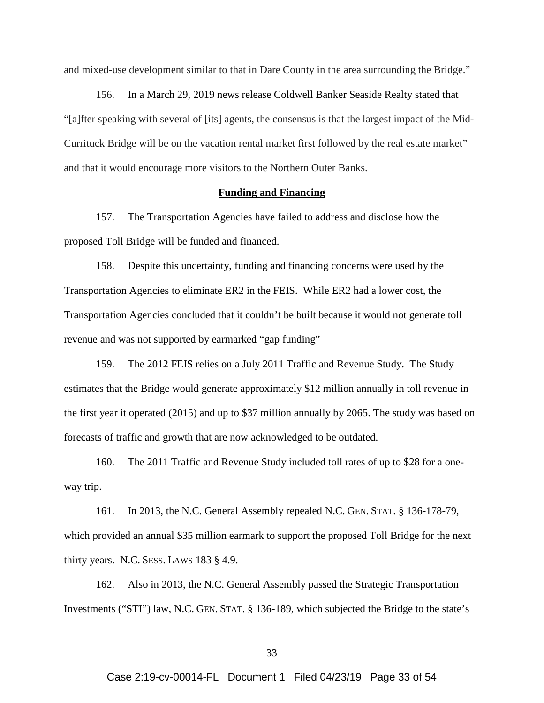and mixed-use development similar to that in Dare County in the area surrounding the Bridge."

156. In a March 29, 2019 news release Coldwell Banker Seaside Realty stated that "[a]fter speaking with several of [its] agents, the consensus is that the largest impact of the Mid-Currituck Bridge will be on the vacation rental market first followed by the real estate market" and that it would encourage more visitors to the Northern Outer Banks.

## **Funding and Financing**

157. The Transportation Agencies have failed to address and disclose how the proposed Toll Bridge will be funded and financed.

158. Despite this uncertainty, funding and financing concerns were used by the Transportation Agencies to eliminate ER2 in the FEIS. While ER2 had a lower cost, the Transportation Agencies concluded that it couldn't be built because it would not generate toll revenue and was not supported by earmarked "gap funding"

159. The 2012 FEIS relies on a July 2011 Traffic and Revenue Study. The Study estimates that the Bridge would generate approximately \$12 million annually in toll revenue in the first year it operated (2015) and up to \$37 million annually by 2065. The study was based on forecasts of traffic and growth that are now acknowledged to be outdated.

160. The 2011 Traffic and Revenue Study included toll rates of up to \$28 for a oneway trip.

161. In 2013, the N.C. General Assembly repealed N.C. GEN. STAT. § 136-178-79, which provided an annual \$35 million earmark to support the proposed Toll Bridge for the next thirty years. N.C. SESS. LAWS 183 § 4.9.

162. Also in 2013, the N.C. General Assembly passed the Strategic Transportation Investments ("STI") law, N.C. GEN. STAT. § 136-189, which subjected the Bridge to the state's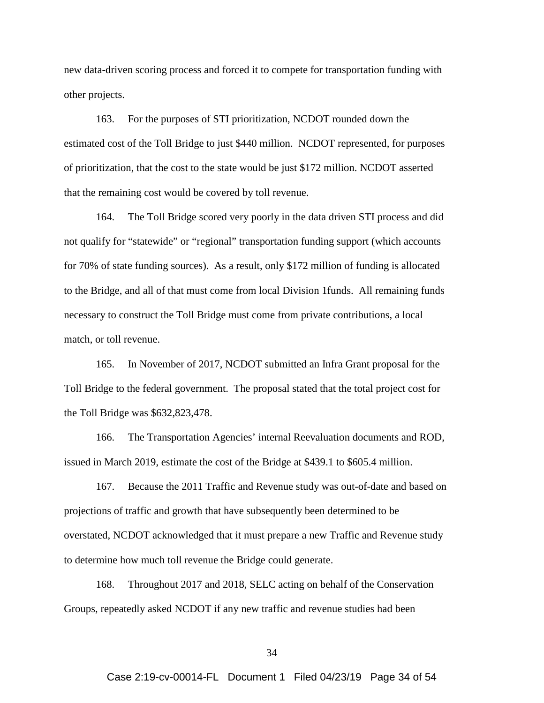new data-driven scoring process and forced it to compete for transportation funding with other projects.

163. For the purposes of STI prioritization, NCDOT rounded down the estimated cost of the Toll Bridge to just \$440 million. NCDOT represented, for purposes of prioritization, that the cost to the state would be just \$172 million. NCDOT asserted that the remaining cost would be covered by toll revenue.

164. The Toll Bridge scored very poorly in the data driven STI process and did not qualify for "statewide" or "regional" transportation funding support (which accounts for 70% of state funding sources). As a result, only \$172 million of funding is allocated to the Bridge, and all of that must come from local Division 1funds. All remaining funds necessary to construct the Toll Bridge must come from private contributions, a local match, or toll revenue.

165. In November of 2017, NCDOT submitted an Infra Grant proposal for the Toll Bridge to the federal government. The proposal stated that the total project cost for the Toll Bridge was \$632,823,478.

166. The Transportation Agencies' internal Reevaluation documents and ROD, issued in March 2019, estimate the cost of the Bridge at \$439.1 to \$605.4 million.

167. Because the 2011 Traffic and Revenue study was out-of-date and based on projections of traffic and growth that have subsequently been determined to be overstated, NCDOT acknowledged that it must prepare a new Traffic and Revenue study to determine how much toll revenue the Bridge could generate.

168. Throughout 2017 and 2018, SELC acting on behalf of the Conservation Groups, repeatedly asked NCDOT if any new traffic and revenue studies had been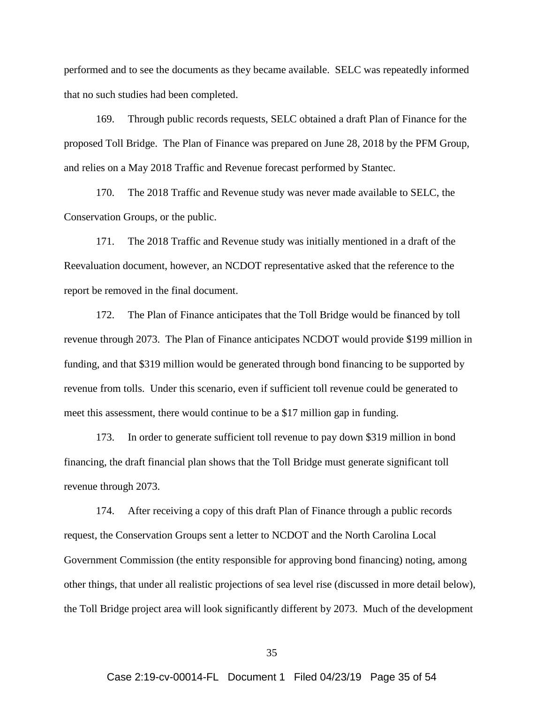performed and to see the documents as they became available. SELC was repeatedly informed that no such studies had been completed.

169. Through public records requests, SELC obtained a draft Plan of Finance for the proposed Toll Bridge. The Plan of Finance was prepared on June 28, 2018 by the PFM Group, and relies on a May 2018 Traffic and Revenue forecast performed by Stantec.

170. The 2018 Traffic and Revenue study was never made available to SELC, the Conservation Groups, or the public.

171. The 2018 Traffic and Revenue study was initially mentioned in a draft of the Reevaluation document, however, an NCDOT representative asked that the reference to the report be removed in the final document.

172. The Plan of Finance anticipates that the Toll Bridge would be financed by toll revenue through 2073. The Plan of Finance anticipates NCDOT would provide \$199 million in funding, and that \$319 million would be generated through bond financing to be supported by revenue from tolls. Under this scenario, even if sufficient toll revenue could be generated to meet this assessment, there would continue to be a \$17 million gap in funding.

173. In order to generate sufficient toll revenue to pay down \$319 million in bond financing, the draft financial plan shows that the Toll Bridge must generate significant toll revenue through 2073.

174. After receiving a copy of this draft Plan of Finance through a public records request, the Conservation Groups sent a letter to NCDOT and the North Carolina Local Government Commission (the entity responsible for approving bond financing) noting, among other things, that under all realistic projections of sea level rise (discussed in more detail below), the Toll Bridge project area will look significantly different by 2073. Much of the development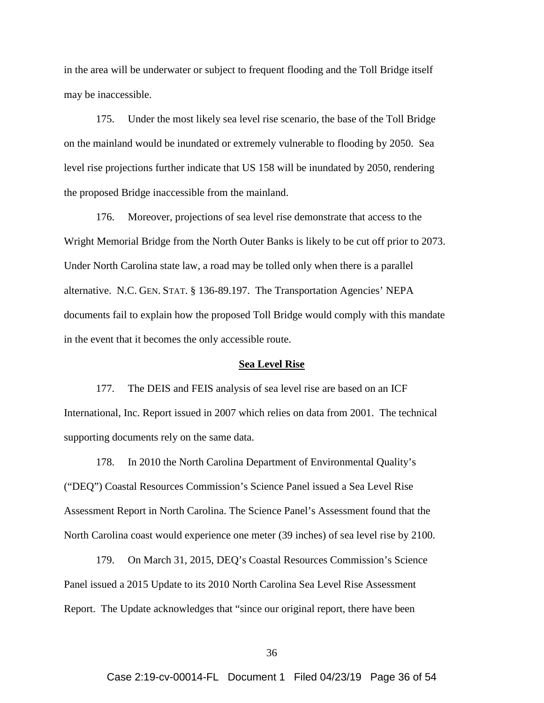in the area will be underwater or subject to frequent flooding and the Toll Bridge itself may be inaccessible.

175. Under the most likely sea level rise scenario, the base of the Toll Bridge on the mainland would be inundated or extremely vulnerable to flooding by 2050. Sea level rise projections further indicate that US 158 will be inundated by 2050, rendering the proposed Bridge inaccessible from the mainland.

176. Moreover, projections of sea level rise demonstrate that access to the Wright Memorial Bridge from the North Outer Banks is likely to be cut off prior to 2073. Under North Carolina state law, a road may be tolled only when there is a parallel alternative. N.C. GEN. STAT. § 136-89.197. The Transportation Agencies' NEPA documents fail to explain how the proposed Toll Bridge would comply with this mandate in the event that it becomes the only accessible route.

#### **Sea Level Rise**

177. The DEIS and FEIS analysis of sea level rise are based on an ICF International, Inc. Report issued in 2007 which relies on data from 2001. The technical supporting documents rely on the same data.

178. In 2010 the North Carolina Department of Environmental Quality's ("DEQ") Coastal Resources Commission's Science Panel issued a Sea Level Rise Assessment Report in North Carolina. The Science Panel's Assessment found that the North Carolina coast would experience one meter (39 inches) of sea level rise by 2100.

179. On March 31, 2015, DEQ's Coastal Resources Commission's Science Panel issued a 2015 Update to its 2010 North Carolina Sea Level Rise Assessment Report. The Update acknowledges that "since our original report, there have been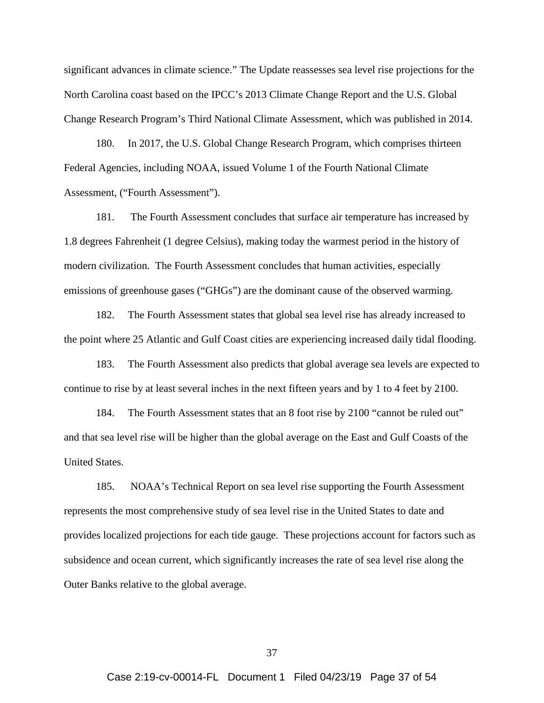significant advances in climate science." The Update reassesses sea level rise projections for the North Carolina coast based on the IPCC's 2013 Climate Change Report and the U.S. Global Change Research Program's Third National Climate Assessment, which was published in 2014.

180. In 2017, the U.S. Global Change Research Program, which comprises thirteen Federal Agencies, including NOAA, issued Volume 1 of the Fourth National Climate Assessment, ("Fourth Assessment").

181. The Fourth Assessment concludes that surface air temperature has increased by 1.8 degrees Fahrenheit (1 degree Celsius), making today the warmest period in the history of modern civilization. The Fourth Assessment concludes that human activities, especially emissions of greenhouse gases ("GHGs") are the dominant cause of the observed warming.

182. The Fourth Assessment states that global sea level rise has already increased to the point where 25 Atlantic and Gulf Coast cities are experiencing increased daily tidal flooding.

183. The Fourth Assessment also predicts that global average sea levels are expected to continue to rise by at least several inches in the next fifteen years and by 1 to 4 feet by 2100.

184. The Fourth Assessment states that an 8 foot rise by 2100 "cannot be ruled out" and that sea level rise will be higher than the global average on the East and Gulf Coasts of the United States.

185. NOAA's Technical Report on sea level rise supporting the Fourth Assessment represents the most comprehensive study of sea level rise in the United States to date and provides localized projections for each tide gauge. These projections account for factors such as subsidence and ocean current, which significantly increases the rate of sea level rise along the Outer Banks relative to the global average.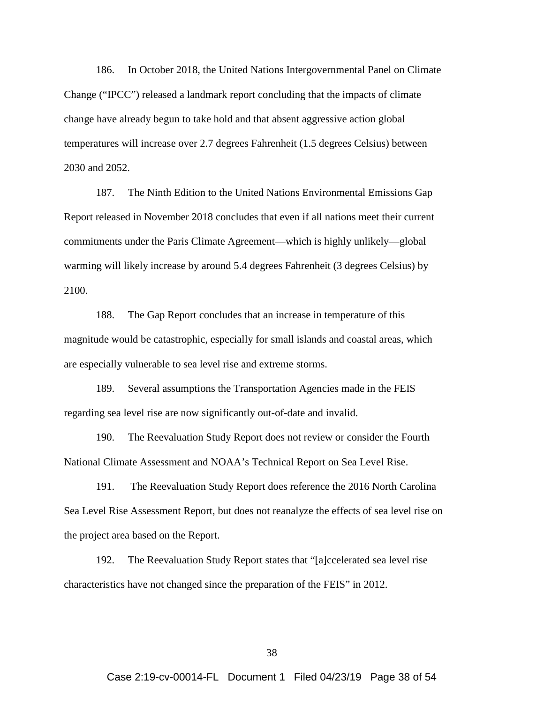186. In October 2018, the United Nations Intergovernmental Panel on Climate Change ("IPCC") released a landmark report concluding that the impacts of climate change have already begun to take hold and that absent aggressive action global temperatures will increase over 2.7 degrees Fahrenheit (1.5 degrees Celsius) between 2030 and 2052.

187. The Ninth Edition to the United Nations Environmental Emissions Gap Report released in November 2018 concludes that even if all nations meet their current commitments under the Paris Climate Agreement—which is highly unlikely—global warming will likely increase by around 5.4 degrees Fahrenheit (3 degrees Celsius) by 2100.

188. The Gap Report concludes that an increase in temperature of this magnitude would be catastrophic, especially for small islands and coastal areas, which are especially vulnerable to sea level rise and extreme storms.

189. Several assumptions the Transportation Agencies made in the FEIS regarding sea level rise are now significantly out-of-date and invalid.

190. The Reevaluation Study Report does not review or consider the Fourth National Climate Assessment and NOAA's Technical Report on Sea Level Rise.

191. The Reevaluation Study Report does reference the 2016 North Carolina Sea Level Rise Assessment Report, but does not reanalyze the effects of sea level rise on the project area based on the Report.

192. The Reevaluation Study Report states that "[a]ccelerated sea level rise characteristics have not changed since the preparation of the FEIS" in 2012.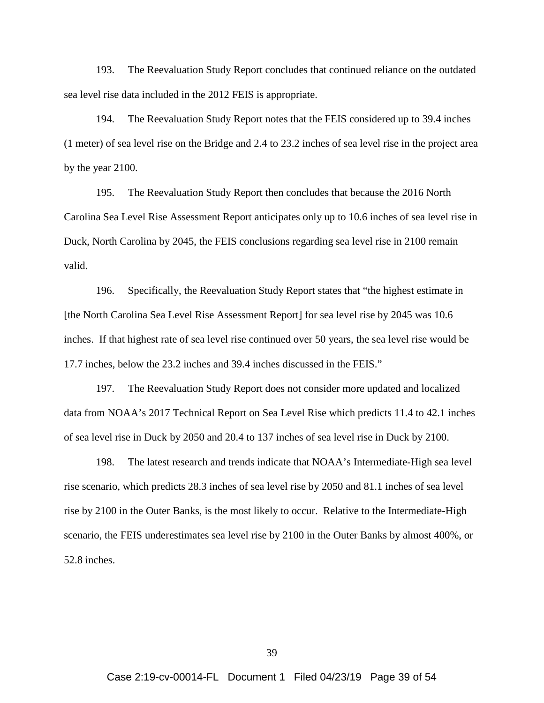193. The Reevaluation Study Report concludes that continued reliance on the outdated sea level rise data included in the 2012 FEIS is appropriate.

194. The Reevaluation Study Report notes that the FEIS considered up to 39.4 inches (1 meter) of sea level rise on the Bridge and 2.4 to 23.2 inches of sea level rise in the project area by the year 2100.

195. The Reevaluation Study Report then concludes that because the 2016 North Carolina Sea Level Rise Assessment Report anticipates only up to 10.6 inches of sea level rise in Duck, North Carolina by 2045, the FEIS conclusions regarding sea level rise in 2100 remain valid.

196. Specifically, the Reevaluation Study Report states that "the highest estimate in [the North Carolina Sea Level Rise Assessment Report] for sea level rise by 2045 was 10.6 inches. If that highest rate of sea level rise continued over 50 years, the sea level rise would be 17.7 inches, below the 23.2 inches and 39.4 inches discussed in the FEIS."

197. The Reevaluation Study Report does not consider more updated and localized data from NOAA's 2017 Technical Report on Sea Level Rise which predicts 11.4 to 42.1 inches of sea level rise in Duck by 2050 and 20.4 to 137 inches of sea level rise in Duck by 2100.

198. The latest research and trends indicate that NOAA's Intermediate-High sea level rise scenario, which predicts 28.3 inches of sea level rise by 2050 and 81.1 inches of sea level rise by 2100 in the Outer Banks, is the most likely to occur. Relative to the Intermediate-High scenario, the FEIS underestimates sea level rise by 2100 in the Outer Banks by almost 400%, or 52.8 inches.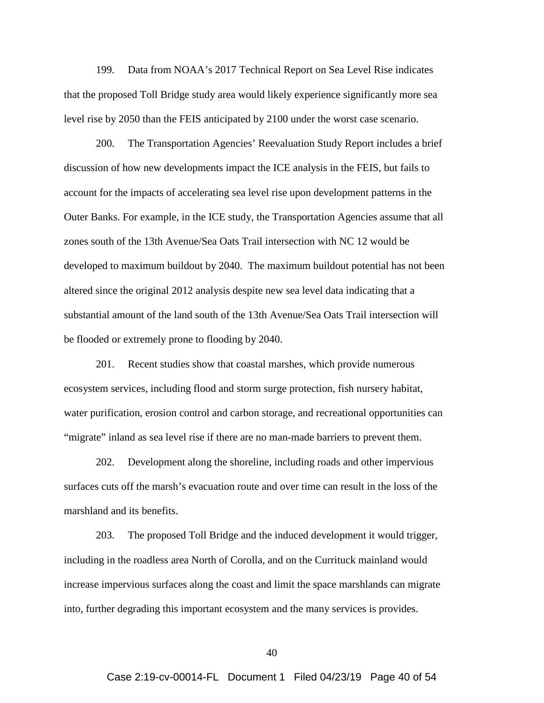199. Data from NOAA's 2017 Technical Report on Sea Level Rise indicates that the proposed Toll Bridge study area would likely experience significantly more sea level rise by 2050 than the FEIS anticipated by 2100 under the worst case scenario.

200. The Transportation Agencies' Reevaluation Study Report includes a brief discussion of how new developments impact the ICE analysis in the FEIS, but fails to account for the impacts of accelerating sea level rise upon development patterns in the Outer Banks. For example, in the ICE study, the Transportation Agencies assume that all zones south of the 13th Avenue/Sea Oats Trail intersection with NC 12 would be developed to maximum buildout by 2040. The maximum buildout potential has not been altered since the original 2012 analysis despite new sea level data indicating that a substantial amount of the land south of the 13th Avenue/Sea Oats Trail intersection will be flooded or extremely prone to flooding by 2040.

201. Recent studies show that coastal marshes, which provide numerous ecosystem services, including flood and storm surge protection, fish nursery habitat, water purification, erosion control and carbon storage, and recreational opportunities can "migrate" inland as sea level rise if there are no man-made barriers to prevent them.

202. Development along the shoreline, including roads and other impervious surfaces cuts off the marsh's evacuation route and over time can result in the loss of the marshland and its benefits.

203. The proposed Toll Bridge and the induced development it would trigger, including in the roadless area North of Corolla, and on the Currituck mainland would increase impervious surfaces along the coast and limit the space marshlands can migrate into, further degrading this important ecosystem and the many services is provides.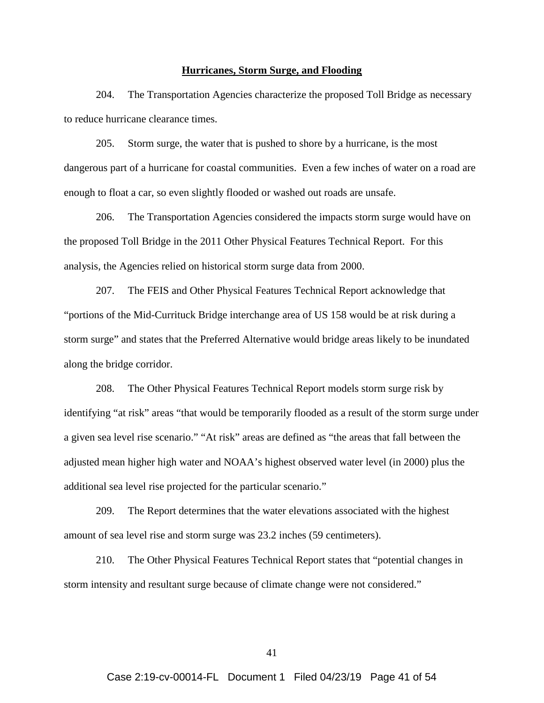#### **Hurricanes, Storm Surge, and Flooding**

204. The Transportation Agencies characterize the proposed Toll Bridge as necessary to reduce hurricane clearance times.

205. Storm surge, the water that is pushed to shore by a hurricane, is the most dangerous part of a hurricane for coastal communities. Even a few inches of water on a road are enough to float a car, so even slightly flooded or washed out roads are unsafe.

206. The Transportation Agencies considered the impacts storm surge would have on the proposed Toll Bridge in the 2011 Other Physical Features Technical Report. For this analysis, the Agencies relied on historical storm surge data from 2000.

207. The FEIS and Other Physical Features Technical Report acknowledge that "portions of the Mid-Currituck Bridge interchange area of US 158 would be at risk during a storm surge" and states that the Preferred Alternative would bridge areas likely to be inundated along the bridge corridor.

208. The Other Physical Features Technical Report models storm surge risk by identifying "at risk" areas "that would be temporarily flooded as a result of the storm surge under a given sea level rise scenario." "At risk" areas are defined as "the areas that fall between the adjusted mean higher high water and NOAA's highest observed water level (in 2000) plus the additional sea level rise projected for the particular scenario."

209. The Report determines that the water elevations associated with the highest amount of sea level rise and storm surge was 23.2 inches (59 centimeters).

210. The Other Physical Features Technical Report states that "potential changes in storm intensity and resultant surge because of climate change were not considered."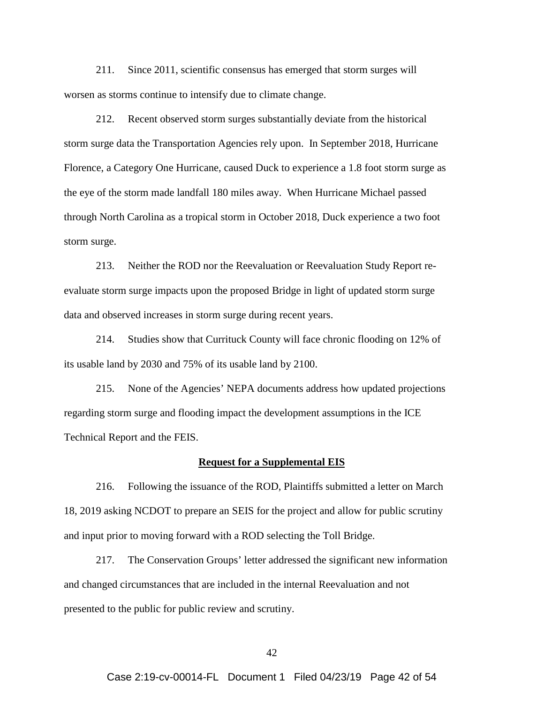211. Since 2011, scientific consensus has emerged that storm surges will worsen as storms continue to intensify due to climate change.

212. Recent observed storm surges substantially deviate from the historical storm surge data the Transportation Agencies rely upon. In September 2018, Hurricane Florence, a Category One Hurricane, caused Duck to experience a 1.8 foot storm surge as the eye of the storm made landfall 180 miles away. When Hurricane Michael passed through North Carolina as a tropical storm in October 2018, Duck experience a two foot storm surge.

213. Neither the ROD nor the Reevaluation or Reevaluation Study Report reevaluate storm surge impacts upon the proposed Bridge in light of updated storm surge data and observed increases in storm surge during recent years.

214. Studies show that Currituck County will face chronic flooding on 12% of its usable land by 2030 and 75% of its usable land by 2100.

215. None of the Agencies' NEPA documents address how updated projections regarding storm surge and flooding impact the development assumptions in the ICE Technical Report and the FEIS.

#### **Request for a Supplemental EIS**

216. Following the issuance of the ROD, Plaintiffs submitted a letter on March 18, 2019 asking NCDOT to prepare an SEIS for the project and allow for public scrutiny and input prior to moving forward with a ROD selecting the Toll Bridge.

217. The Conservation Groups' letter addressed the significant new information and changed circumstances that are included in the internal Reevaluation and not presented to the public for public review and scrutiny.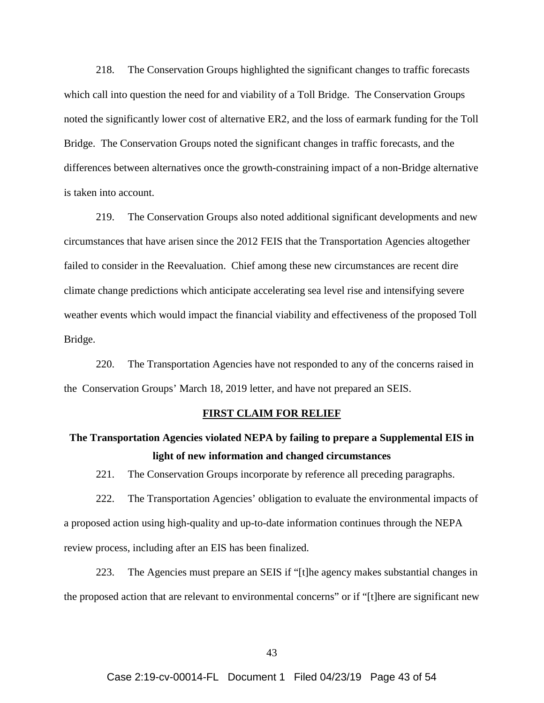218. The Conservation Groups highlighted the significant changes to traffic forecasts which call into question the need for and viability of a Toll Bridge. The Conservation Groups noted the significantly lower cost of alternative ER2, and the loss of earmark funding for the Toll Bridge. The Conservation Groups noted the significant changes in traffic forecasts, and the differences between alternatives once the growth-constraining impact of a non-Bridge alternative is taken into account.

219. The Conservation Groups also noted additional significant developments and new circumstances that have arisen since the 2012 FEIS that the Transportation Agencies altogether failed to consider in the Reevaluation. Chief among these new circumstances are recent dire climate change predictions which anticipate accelerating sea level rise and intensifying severe weather events which would impact the financial viability and effectiveness of the proposed Toll Bridge.

220. The Transportation Agencies have not responded to any of the concerns raised in the Conservation Groups' March 18, 2019 letter, and have not prepared an SEIS.

#### **FIRST CLAIM FOR RELIEF**

# **The Transportation Agencies violated NEPA by failing to prepare a Supplemental EIS in light of new information and changed circumstances**

221. The Conservation Groups incorporate by reference all preceding paragraphs.

222. The Transportation Agencies' obligation to evaluate the environmental impacts of a proposed action using high-quality and up-to-date information continues through the NEPA review process, including after an EIS has been finalized.

223. The Agencies must prepare an SEIS if "[t]he agency makes substantial changes in the proposed action that are relevant to environmental concerns" or if "[t]here are significant new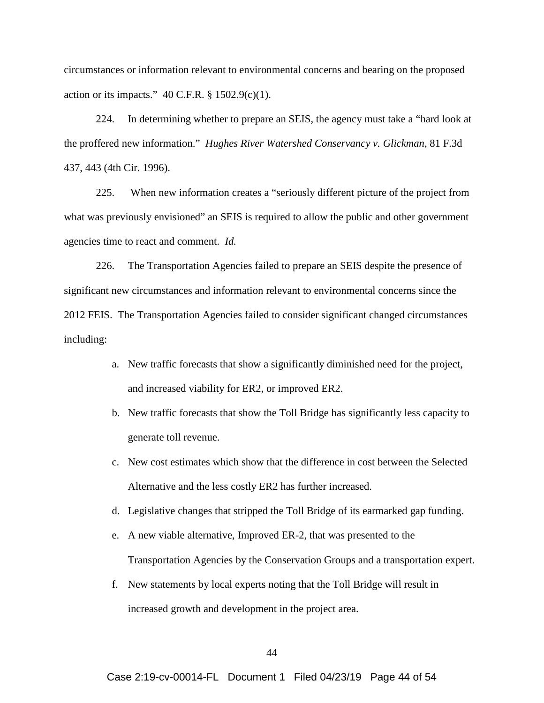circumstances or information relevant to environmental concerns and bearing on the proposed action or its impacts."  $40$  C.F.R.  $\S$  1502.9(c)(1).

224. In determining whether to prepare an SEIS, the agency must take a "hard look at the proffered new information." *Hughes River Watershed Conservancy v. Glickman*, 81 F.3d 437, 443 (4th Cir. 1996).

225. When new information creates a "seriously different picture of the project from what was previously envisioned" an SEIS is required to allow the public and other government agencies time to react and comment. *Id.*

226. The Transportation Agencies failed to prepare an SEIS despite the presence of significant new circumstances and information relevant to environmental concerns since the 2012 FEIS. The Transportation Agencies failed to consider significant changed circumstances including:

- a. New traffic forecasts that show a significantly diminished need for the project, and increased viability for ER2, or improved ER2.
- b. New traffic forecasts that show the Toll Bridge has significantly less capacity to generate toll revenue.
- c. New cost estimates which show that the difference in cost between the Selected Alternative and the less costly ER2 has further increased.
- d. Legislative changes that stripped the Toll Bridge of its earmarked gap funding.
- e. A new viable alternative, Improved ER-2, that was presented to the Transportation Agencies by the Conservation Groups and a transportation expert.
- f. New statements by local experts noting that the Toll Bridge will result in increased growth and development in the project area.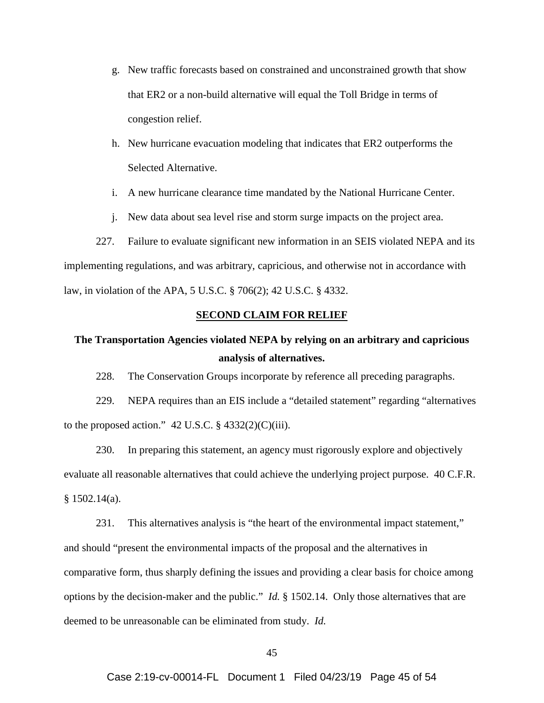- g. New traffic forecasts based on constrained and unconstrained growth that show that ER2 or a non-build alternative will equal the Toll Bridge in terms of congestion relief.
- h. New hurricane evacuation modeling that indicates that ER2 outperforms the Selected Alternative.
- i. A new hurricane clearance time mandated by the National Hurricane Center.
- j. New data about sea level rise and storm surge impacts on the project area.

227. Failure to evaluate significant new information in an SEIS violated NEPA and its implementing regulations, and was arbitrary, capricious, and otherwise not in accordance with law, in violation of the APA, 5 U.S.C. § 706(2); 42 U.S.C. § 4332.

### **SECOND CLAIM FOR RELIEF**

## **The Transportation Agencies violated NEPA by relying on an arbitrary and capricious analysis of alternatives.**

228. The Conservation Groups incorporate by reference all preceding paragraphs.

229. NEPA requires than an EIS include a "detailed statement" regarding "alternatives to the proposed action."  $42$  U.S.C.  $\S$   $4332(2)(C)(iii)$ .

230. In preparing this statement, an agency must rigorously explore and objectively evaluate all reasonable alternatives that could achieve the underlying project purpose. 40 C.F.R. § 1502.14(a).

231. This alternatives analysis is "the heart of the environmental impact statement," and should "present the environmental impacts of the proposal and the alternatives in comparative form, thus sharply defining the issues and providing a clear basis for choice among options by the decision-maker and the public." *Id.* § 1502.14. Only those alternatives that are deemed to be unreasonable can be eliminated from study. *Id.*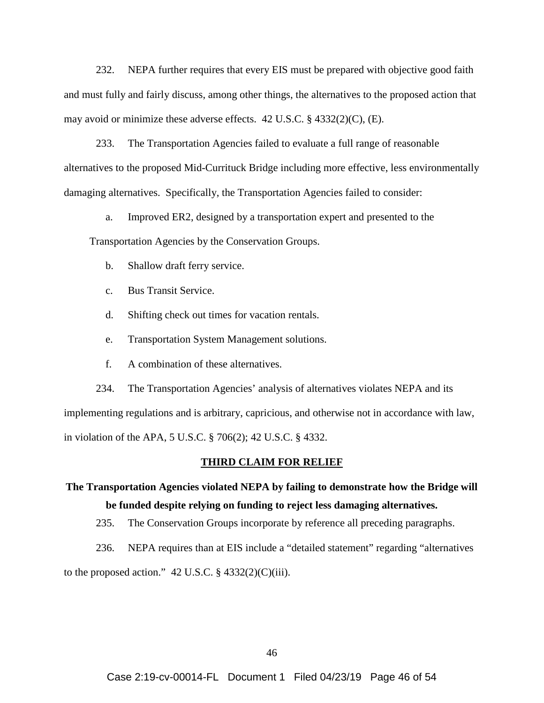232. NEPA further requires that every EIS must be prepared with objective good faith and must fully and fairly discuss, among other things, the alternatives to the proposed action that may avoid or minimize these adverse effects. 42 U.S.C. § 4332(2)(C), (E).

233. The Transportation Agencies failed to evaluate a full range of reasonable alternatives to the proposed Mid-Currituck Bridge including more effective, less environmentally damaging alternatives. Specifically, the Transportation Agencies failed to consider:

a. Improved ER2, designed by a transportation expert and presented to the

Transportation Agencies by the Conservation Groups.

- b. Shallow draft ferry service.
- c. Bus Transit Service.
- d. Shifting check out times for vacation rentals.
- e. Transportation System Management solutions.
- f. A combination of these alternatives.

234. The Transportation Agencies' analysis of alternatives violates NEPA and its implementing regulations and is arbitrary, capricious, and otherwise not in accordance with law, in violation of the APA, 5 U.S.C. § 706(2); 42 U.S.C. § 4332.

#### **THIRD CLAIM FOR RELIEF**

# **The Transportation Agencies violated NEPA by failing to demonstrate how the Bridge will be funded despite relying on funding to reject less damaging alternatives.**

235. The Conservation Groups incorporate by reference all preceding paragraphs.

236. NEPA requires than at EIS include a "detailed statement" regarding "alternatives

to the proposed action."  $42$  U.S.C. §  $4332(2)(C)(iii)$ .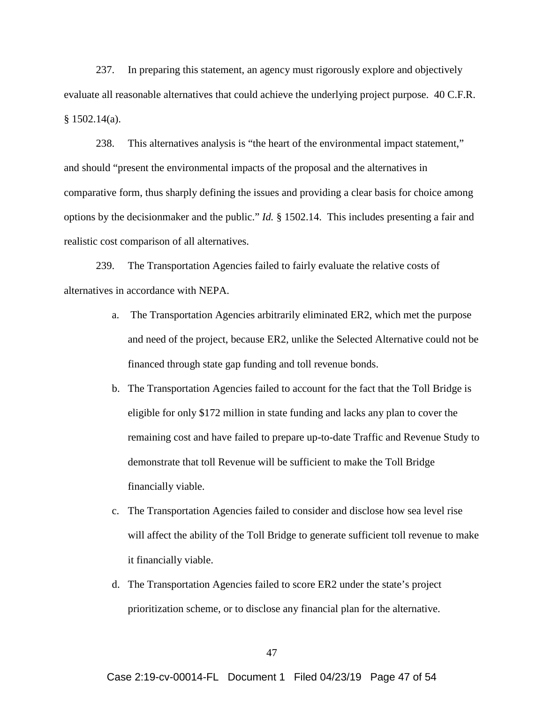237. In preparing this statement, an agency must rigorously explore and objectively evaluate all reasonable alternatives that could achieve the underlying project purpose. 40 C.F.R.  $§ 1502.14(a).$ 

238. This alternatives analysis is "the heart of the environmental impact statement," and should "present the environmental impacts of the proposal and the alternatives in comparative form, thus sharply defining the issues and providing a clear basis for choice among options by the decisionmaker and the public." *Id.* § 1502.14. This includes presenting a fair and realistic cost comparison of all alternatives.

239. The Transportation Agencies failed to fairly evaluate the relative costs of alternatives in accordance with NEPA.

- a. The Transportation Agencies arbitrarily eliminated ER2, which met the purpose and need of the project, because ER2, unlike the Selected Alternative could not be financed through state gap funding and toll revenue bonds.
- b. The Transportation Agencies failed to account for the fact that the Toll Bridge is eligible for only \$172 million in state funding and lacks any plan to cover the remaining cost and have failed to prepare up-to-date Traffic and Revenue Study to demonstrate that toll Revenue will be sufficient to make the Toll Bridge financially viable.
- c. The Transportation Agencies failed to consider and disclose how sea level rise will affect the ability of the Toll Bridge to generate sufficient toll revenue to make it financially viable.
- d. The Transportation Agencies failed to score ER2 under the state's project prioritization scheme, or to disclose any financial plan for the alternative.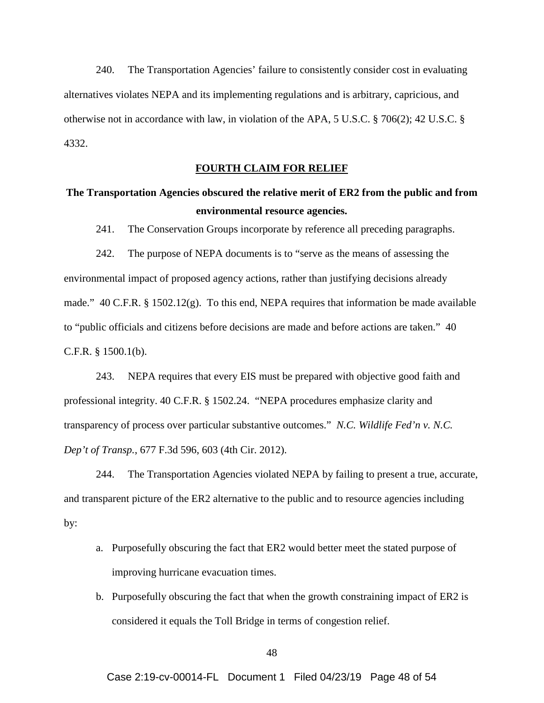240. The Transportation Agencies' failure to consistently consider cost in evaluating alternatives violates NEPA and its implementing regulations and is arbitrary, capricious, and otherwise not in accordance with law, in violation of the APA, 5 U.S.C. § 706(2); 42 U.S.C. § 4332.

## **FOURTH CLAIM FOR RELIEF**

## **The Transportation Agencies obscured the relative merit of ER2 from the public and from environmental resource agencies.**

241. The Conservation Groups incorporate by reference all preceding paragraphs.

242. The purpose of NEPA documents is to "serve as the means of assessing the environmental impact of proposed agency actions, rather than justifying decisions already made." 40 C.F.R. § 1502.12(g). To this end, NEPA requires that information be made available to "public officials and citizens before decisions are made and before actions are taken." 40 C.F.R. § 1500.1(b).

243. NEPA requires that every EIS must be prepared with objective good faith and professional integrity. 40 C.F.R. § 1502.24. "NEPA procedures emphasize clarity and transparency of process over particular substantive outcomes." *N.C. Wildlife Fed'n v. N.C. Dep't of Transp.*, 677 F.3d 596, 603 (4th Cir. 2012).

244. The Transportation Agencies violated NEPA by failing to present a true, accurate, and transparent picture of the ER2 alternative to the public and to resource agencies including by:

- a. Purposefully obscuring the fact that ER2 would better meet the stated purpose of improving hurricane evacuation times.
- b. Purposefully obscuring the fact that when the growth constraining impact of ER2 is considered it equals the Toll Bridge in terms of congestion relief.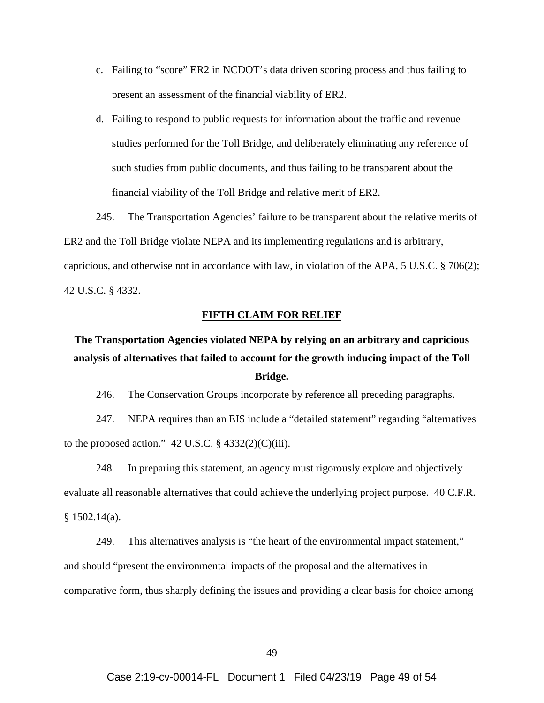- c. Failing to "score" ER2 in NCDOT's data driven scoring process and thus failing to present an assessment of the financial viability of ER2.
- d. Failing to respond to public requests for information about the traffic and revenue studies performed for the Toll Bridge, and deliberately eliminating any reference of such studies from public documents, and thus failing to be transparent about the financial viability of the Toll Bridge and relative merit of ER2.

245. The Transportation Agencies' failure to be transparent about the relative merits of ER2 and the Toll Bridge violate NEPA and its implementing regulations and is arbitrary, capricious, and otherwise not in accordance with law, in violation of the APA, 5 U.S.C. § 706(2); 42 U.S.C. § 4332.

### **FIFTH CLAIM FOR RELIEF**

# **The Transportation Agencies violated NEPA by relying on an arbitrary and capricious analysis of alternatives that failed to account for the growth inducing impact of the Toll Bridge.**

246. The Conservation Groups incorporate by reference all preceding paragraphs.

247. NEPA requires than an EIS include a "detailed statement" regarding "alternatives to the proposed action."  $42$  U.S.C.  $\S$   $4332(2)(C)(iii)$ .

248. In preparing this statement, an agency must rigorously explore and objectively evaluate all reasonable alternatives that could achieve the underlying project purpose. 40 C.F.R. § 1502.14(a).

249. This alternatives analysis is "the heart of the environmental impact statement," and should "present the environmental impacts of the proposal and the alternatives in comparative form, thus sharply defining the issues and providing a clear basis for choice among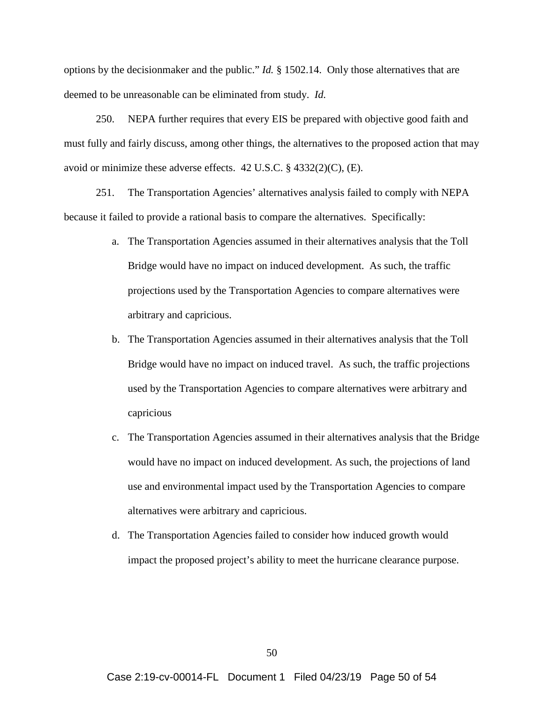options by the decisionmaker and the public." *Id.* § 1502.14. Only those alternatives that are deemed to be unreasonable can be eliminated from study. *Id.*

250. NEPA further requires that every EIS be prepared with objective good faith and must fully and fairly discuss, among other things, the alternatives to the proposed action that may avoid or minimize these adverse effects. 42 U.S.C. § 4332(2)(C), (E).

251. The Transportation Agencies' alternatives analysis failed to comply with NEPA because it failed to provide a rational basis to compare the alternatives. Specifically:

- a. The Transportation Agencies assumed in their alternatives analysis that the Toll Bridge would have no impact on induced development. As such, the traffic projections used by the Transportation Agencies to compare alternatives were arbitrary and capricious.
- b. The Transportation Agencies assumed in their alternatives analysis that the Toll Bridge would have no impact on induced travel. As such, the traffic projections used by the Transportation Agencies to compare alternatives were arbitrary and capricious
- c. The Transportation Agencies assumed in their alternatives analysis that the Bridge would have no impact on induced development. As such, the projections of land use and environmental impact used by the Transportation Agencies to compare alternatives were arbitrary and capricious.
- d. The Transportation Agencies failed to consider how induced growth would impact the proposed project's ability to meet the hurricane clearance purpose.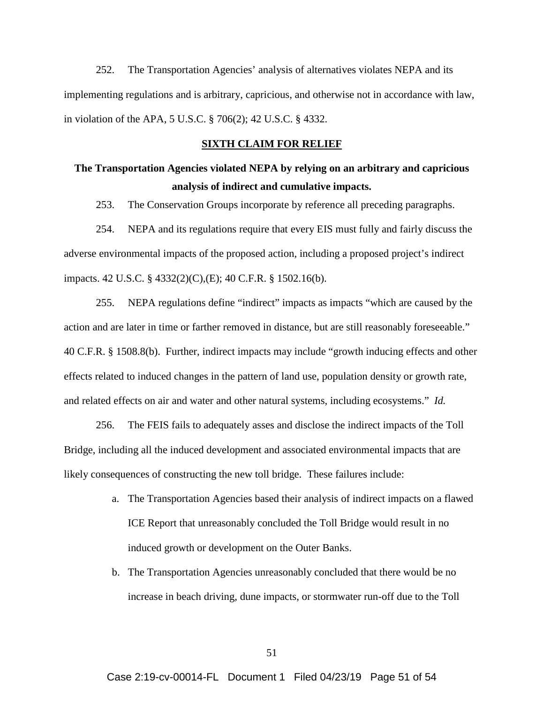252. The Transportation Agencies' analysis of alternatives violates NEPA and its implementing regulations and is arbitrary, capricious, and otherwise not in accordance with law, in violation of the APA, 5 U.S.C. § 706(2); 42 U.S.C. § 4332.

### **SIXTH CLAIM FOR RELIEF**

## **The Transportation Agencies violated NEPA by relying on an arbitrary and capricious analysis of indirect and cumulative impacts.**

253. The Conservation Groups incorporate by reference all preceding paragraphs.

254. NEPA and its regulations require that every EIS must fully and fairly discuss the adverse environmental impacts of the proposed action, including a proposed project's indirect impacts. 42 U.S.C. § 4332(2)(C),(E); 40 C.F.R. § 1502.16(b).

255. NEPA regulations define "indirect" impacts as impacts "which are caused by the action and are later in time or farther removed in distance, but are still reasonably foreseeable." 40 C.F.R. § 1508.8(b). Further, indirect impacts may include "growth inducing effects and other effects related to induced changes in the pattern of land use, population density or growth rate, and related effects on air and water and other natural systems, including ecosystems." *Id.*

256. The FEIS fails to adequately asses and disclose the indirect impacts of the Toll Bridge, including all the induced development and associated environmental impacts that are likely consequences of constructing the new toll bridge. These failures include:

- a. The Transportation Agencies based their analysis of indirect impacts on a flawed ICE Report that unreasonably concluded the Toll Bridge would result in no induced growth or development on the Outer Banks.
- b. The Transportation Agencies unreasonably concluded that there would be no increase in beach driving, dune impacts, or stormwater run-off due to the Toll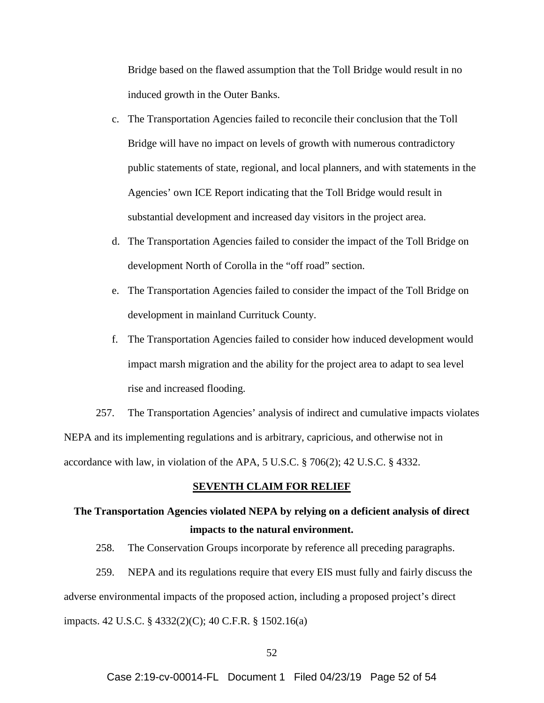Bridge based on the flawed assumption that the Toll Bridge would result in no induced growth in the Outer Banks.

- c. The Transportation Agencies failed to reconcile their conclusion that the Toll Bridge will have no impact on levels of growth with numerous contradictory public statements of state, regional, and local planners, and with statements in the Agencies' own ICE Report indicating that the Toll Bridge would result in substantial development and increased day visitors in the project area.
- d. The Transportation Agencies failed to consider the impact of the Toll Bridge on development North of Corolla in the "off road" section.
- e. The Transportation Agencies failed to consider the impact of the Toll Bridge on development in mainland Currituck County.
- f. The Transportation Agencies failed to consider how induced development would impact marsh migration and the ability for the project area to adapt to sea level rise and increased flooding.

257. The Transportation Agencies' analysis of indirect and cumulative impacts violates NEPA and its implementing regulations and is arbitrary, capricious, and otherwise not in accordance with law, in violation of the APA, 5 U.S.C. § 706(2); 42 U.S.C. § 4332.

#### **SEVENTH CLAIM FOR RELIEF**

# **The Transportation Agencies violated NEPA by relying on a deficient analysis of direct impacts to the natural environment.**

258. The Conservation Groups incorporate by reference all preceding paragraphs.

259. NEPA and its regulations require that every EIS must fully and fairly discuss the adverse environmental impacts of the proposed action, including a proposed project's direct impacts. 42 U.S.C. § 4332(2)(C); 40 C.F.R. § 1502.16(a)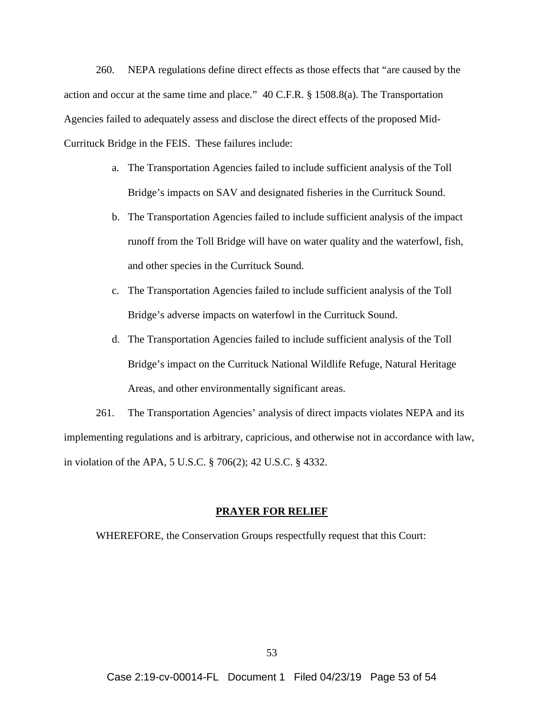260. NEPA regulations define direct effects as those effects that "are caused by the action and occur at the same time and place." 40 C.F.R. § 1508.8(a). The Transportation Agencies failed to adequately assess and disclose the direct effects of the proposed Mid-Currituck Bridge in the FEIS. These failures include:

- a. The Transportation Agencies failed to include sufficient analysis of the Toll Bridge's impacts on SAV and designated fisheries in the Currituck Sound.
- b. The Transportation Agencies failed to include sufficient analysis of the impact runoff from the Toll Bridge will have on water quality and the waterfowl, fish, and other species in the Currituck Sound.
- c. The Transportation Agencies failed to include sufficient analysis of the Toll Bridge's adverse impacts on waterfowl in the Currituck Sound.
- d. The Transportation Agencies failed to include sufficient analysis of the Toll Bridge's impact on the Currituck National Wildlife Refuge, Natural Heritage Areas, and other environmentally significant areas.

261. The Transportation Agencies' analysis of direct impacts violates NEPA and its implementing regulations and is arbitrary, capricious, and otherwise not in accordance with law, in violation of the APA, 5 U.S.C. § 706(2); 42 U.S.C. § 4332.

#### **PRAYER FOR RELIEF**

WHEREFORE, the Conservation Groups respectfully request that this Court: